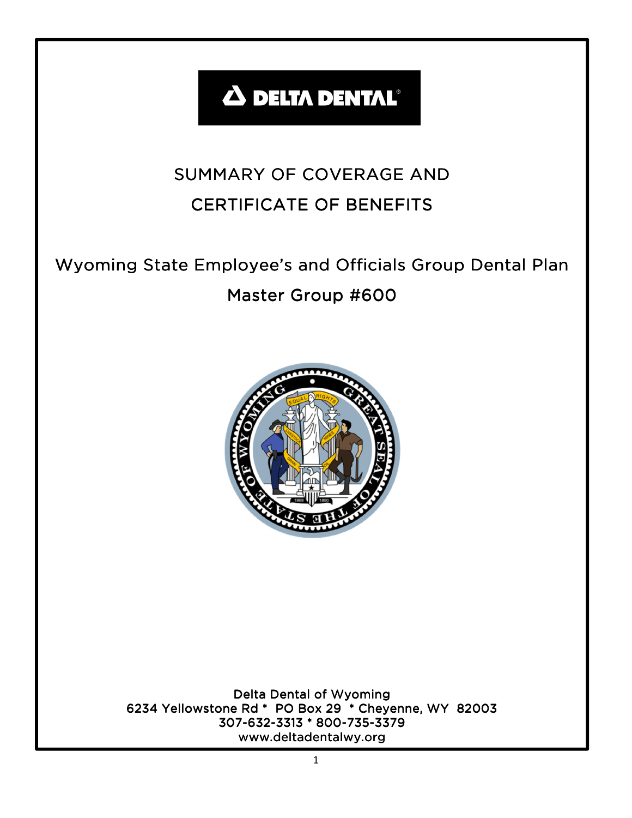# **A DELTA DENTAL®**

# SUMMARY OF COVERAGE AND **CERTIFICATE OF BENEFITS**

# Wyoming State Employee's and Officials Group Dental Plan Master Group #600



Delta Dental of Wyoming 6234 Yellowstone Rd \* PO Box 29 \* Cheyenne, WY 82003 307-632-3313 \* 800-735-3379 www.deltadentalwy.org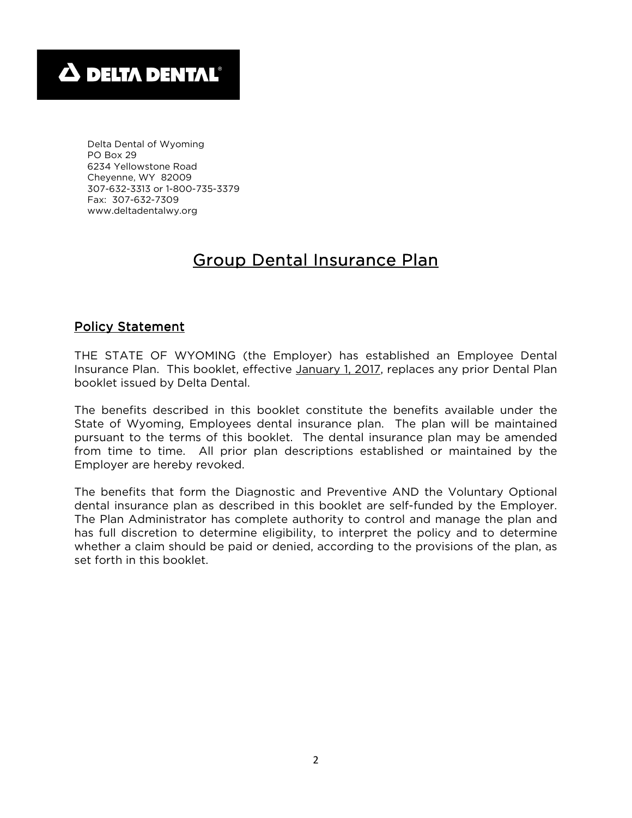Delta Dental of Wyoming PO Box 29 6234 Yellowstone Road Cheyenne, WY 82009 307-632-3313 or 1-800-735-3379 Fax: 307-632-7309 www.deltadentalwy.org

# Group Dental Insurance Plan

# Policy Statement

THE STATE OF WYOMING (the Employer) has established an Employee Dental Insurance Plan. This booklet, effective January 1, 2017, replaces any prior Dental Plan booklet issued by Delta Dental.

The benefits described in this booklet constitute the benefits available under the State of Wyoming, Employees dental insurance plan. The plan will be maintained pursuant to the terms of this booklet. The dental insurance plan may be amended from time to time. All prior plan descriptions established or maintained by the Employer are hereby revoked.

The benefits that form the Diagnostic and Preventive AND the Voluntary Optional dental insurance plan as described in this booklet are self-funded by the Employer. The Plan Administrator has complete authority to control and manage the plan and has full discretion to determine eligibility, to interpret the policy and to determine whether a claim should be paid or denied, according to the provisions of the plan, as set forth in this booklet.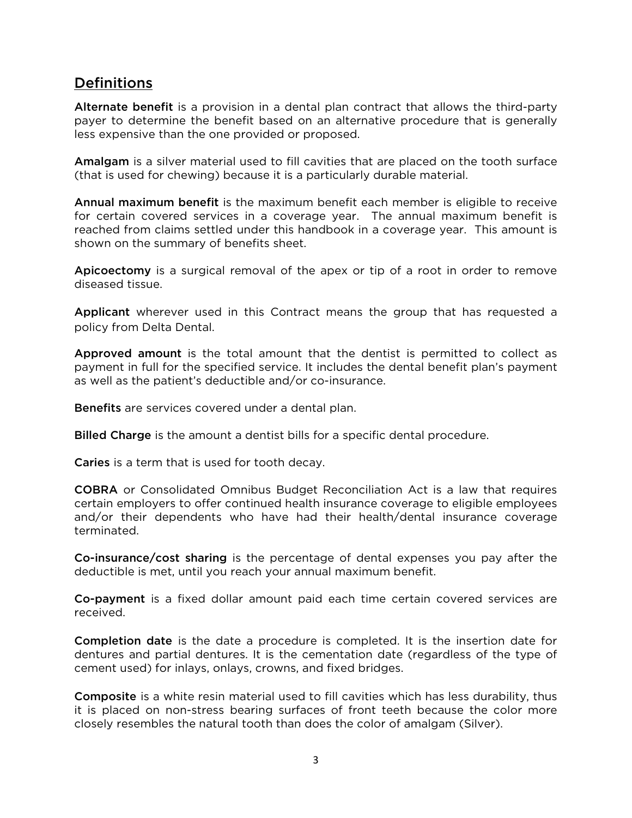# Definitions

Alternate benefit is a provision in a dental plan contract that allows the third-party payer to determine the benefit based on an alternative procedure that is generally less expensive than the one provided or proposed.

Amalgam is a silver material used to fill cavities that are placed on the tooth surface (that is used for chewing) because it is a particularly durable material.

Annual maximum benefit is the maximum benefit each member is eligible to receive for certain covered services in a coverage year. The annual maximum benefit is reached from claims settled under this handbook in a coverage year. This amount is shown on the summary of benefits sheet.

Apicoectomy is a surgical removal of the apex or tip of a root in order to remove diseased tissue.

Applicant wherever used in this Contract means the group that has requested a policy from Delta Dental.

Approved amount is the total amount that the dentist is permitted to collect as payment in full for the specified service. It includes the dental benefit plan's payment as well as the patient's deductible and/or co-insurance.

Benefits are services covered under a dental plan.

Billed Charge is the amount a dentist bills for a specific dental procedure.

**Caries** is a term that is used for tooth decay.

COBRA or Consolidated Omnibus Budget Reconciliation Act is a law that requires certain employers to offer continued health insurance coverage to eligible employees and/or their dependents who have had their health/dental insurance coverage terminated.

Co-insurance/cost sharing is the percentage of dental expenses you pay after the deductible is met, until you reach your annual maximum benefit.

Co-payment is a fixed dollar amount paid each time certain covered services are received.

Completion date is the date a procedure is completed. It is the insertion date for dentures and partial dentures. It is the cementation date (regardless of the type of cement used) for inlays, onlays, crowns, and fixed bridges.

Composite is a white resin material used to fill cavities which has less durability, thus it is placed on non-stress bearing surfaces of front teeth because the color more closely resembles the natural tooth than does the color of amalgam (Silver).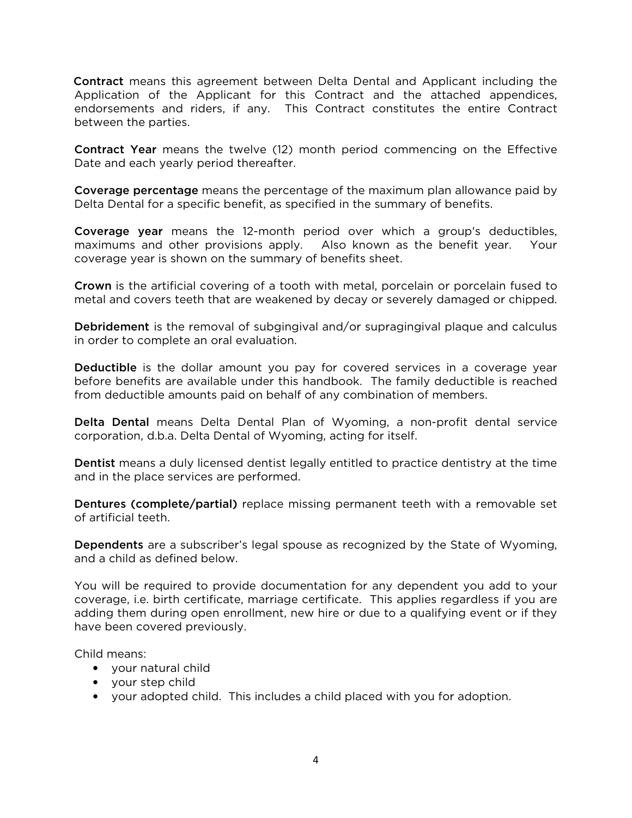Contract means this agreement between Delta Dental and Applicant including the Application of the Applicant for this Contract and the attached appendices, endorsements and riders, if any. This Contract constitutes the entire Contract between the parties.

Contract Year means the twelve (12) month period commencing on the Effective Date and each yearly period thereafter.

Coverage percentage means the percentage of the maximum plan allowance paid by Delta Dental for a specific benefit, as specified in the summary of benefits.

Coverage year means the 12-month period over which a group's deductibles, maximums and other provisions apply. Also known as the benefit year. Your coverage year is shown on the summary of benefits sheet.

Crown is the artificial covering of a tooth with metal, porcelain or porcelain fused to metal and covers teeth that are weakened by decay or severely damaged or chipped.

**Debridement** is the removal of subgingival and/or supragingival plaque and calculus in order to complete an oral evaluation.

Deductible is the dollar amount you pay for covered services in a coverage year before benefits are available under this handbook. The family deductible is reached from deductible amounts paid on behalf of any combination of members.

Delta Dental means Delta Dental Plan of Wyoming, a non-profit dental service corporation, d.b.a. Delta Dental of Wyoming, acting for itself.

Dentist means a duly licensed dentist legally entitled to practice dentistry at the time and in the place services are performed.

Dentures (complete/partial) replace missing permanent teeth with a removable set of artificial teeth.

Dependents are a subscriber's legal spouse as recognized by the State of Wyoming, and a child as defined below.

You will be required to provide documentation for any dependent you add to your coverage, i.e. birth certificate, marriage certificate. This applies regardless if you are adding them during open enrollment, new hire or due to a qualifying event or if they have been covered previously.

Child means:

- your natural child
- your step child
- your adopted child. This includes a child placed with you for adoption.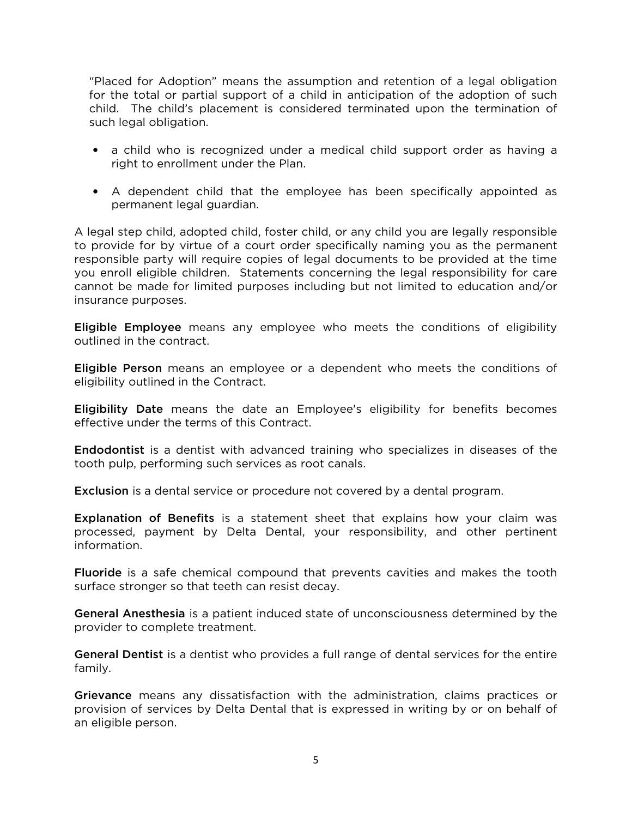"Placed for Adoption" means the assumption and retention of a legal obligation for the total or partial support of a child in anticipation of the adoption of such child. The child's placement is considered terminated upon the termination of such legal obligation.

- a child who is recognized under a medical child support order as having a right to enrollment under the Plan.
- A dependent child that the employee has been specifically appointed as permanent legal guardian.

A legal step child, adopted child, foster child, or any child you are legally responsible to provide for by virtue of a court order specifically naming you as the permanent responsible party will require copies of legal documents to be provided at the time you enroll eligible children. Statements concerning the legal responsibility for care cannot be made for limited purposes including but not limited to education and/or insurance purposes.

Eligible Employee means any employee who meets the conditions of eligibility outlined in the contract.

Eligible Person means an employee or a dependent who meets the conditions of eligibility outlined in the Contract.

Eligibility Date means the date an Employee's eligibility for benefits becomes effective under the terms of this Contract.

Endodontist is a dentist with advanced training who specializes in diseases of the tooth pulp, performing such services as root canals.

**Exclusion** is a dental service or procedure not covered by a dental program.

Explanation of Benefits is a statement sheet that explains how your claim was processed, payment by Delta Dental, your responsibility, and other pertinent information.

Fluoride is a safe chemical compound that prevents cavities and makes the tooth surface stronger so that teeth can resist decay.

General Anesthesia is a patient induced state of unconsciousness determined by the provider to complete treatment.

General Dentist is a dentist who provides a full range of dental services for the entire family.

Grievance means any dissatisfaction with the administration, claims practices or provision of services by Delta Dental that is expressed in writing by or on behalf of an eligible person.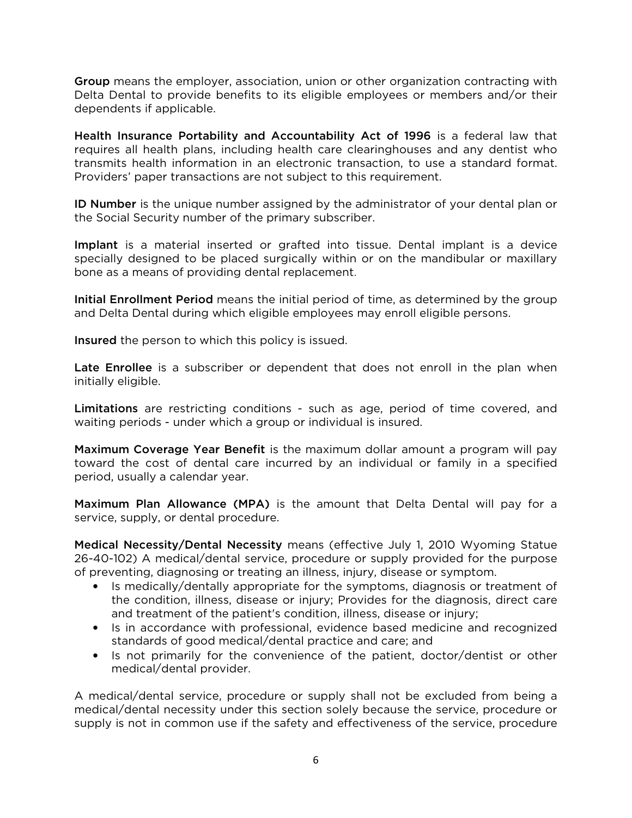Group means the employer, association, union or other organization contracting with Delta Dental to provide benefits to its eligible employees or members and/or their dependents if applicable.

Health Insurance Portability and Accountability Act of 1996 is a federal law that requires all health plans, including health care clearinghouses and any dentist who transmits health information in an electronic transaction, to use a standard format. Providers' paper transactions are not subject to this requirement.

ID Number is the unique number assigned by the administrator of your dental plan or the Social Security number of the primary subscriber.

Implant is a material inserted or grafted into tissue. Dental implant is a device specially designed to be placed surgically within or on the mandibular or maxillary bone as a means of providing dental replacement.

Initial Enrollment Period means the initial period of time, as determined by the group and Delta Dental during which eligible employees may enroll eligible persons.

Insured the person to which this policy is issued.

Late Enrollee is a subscriber or dependent that does not enroll in the plan when initially eligible.

Limitations are restricting conditions - such as age, period of time covered, and waiting periods - under which a group or individual is insured.

Maximum Coverage Year Benefit is the maximum dollar amount a program will pay toward the cost of dental care incurred by an individual or family in a specified period, usually a calendar year.

Maximum Plan Allowance (MPA) is the amount that Delta Dental will pay for a service, supply, or dental procedure.

Medical Necessity/Dental Necessity means (effective July 1, 2010 Wyoming Statue 26-40-102) A medical/dental service, procedure or supply provided for the purpose of preventing, diagnosing or treating an illness, injury, disease or symptom.

- Is medically/dentally appropriate for the symptoms, diagnosis or treatment of the condition, illness, disease or injury; Provides for the diagnosis, direct care and treatment of the patient's condition, illness, disease or injury;
- Is in accordance with professional, evidence based medicine and recognized standards of good medical/dental practice and care; and
- Is not primarily for the convenience of the patient, doctor/dentist or other medical/dental provider.

A medical/dental service, procedure or supply shall not be excluded from being a medical/dental necessity under this section solely because the service, procedure or supply is not in common use if the safety and effectiveness of the service, procedure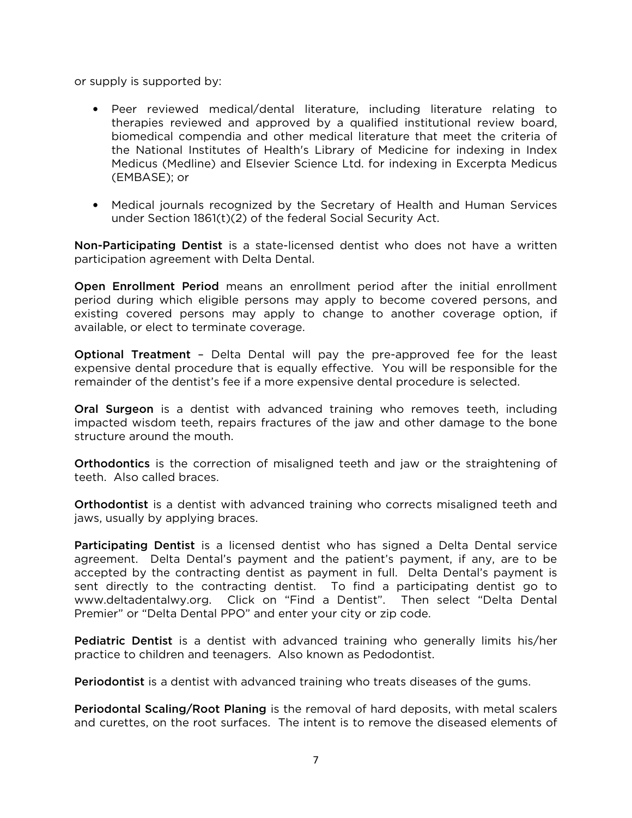or supply is supported by:

- Peer reviewed medical/dental literature, including literature relating to therapies reviewed and approved by a qualified institutional review board, biomedical compendia and other medical literature that meet the criteria of the National Institutes of Health's Library of Medicine for indexing in Index Medicus (Medline) and Elsevier Science Ltd. for indexing in Excerpta Medicus (EMBASE); or
- Medical journals recognized by the Secretary of Health and Human Services under Section 1861(t)(2) of the federal Social Security Act.

Non-Participating Dentist is a state-licensed dentist who does not have a written participation agreement with Delta Dental.

Open Enrollment Period means an enrollment period after the initial enrollment period during which eligible persons may apply to become covered persons, and existing covered persons may apply to change to another coverage option, if available, or elect to terminate coverage.

Optional Treatment – Delta Dental will pay the pre-approved fee for the least expensive dental procedure that is equally effective. You will be responsible for the remainder of the dentist's fee if a more expensive dental procedure is selected.

Oral Surgeon is a dentist with advanced training who removes teeth, including impacted wisdom teeth, repairs fractures of the jaw and other damage to the bone structure around the mouth.

Orthodontics is the correction of misaligned teeth and jaw or the straightening of teeth. Also called braces.

Orthodontist is a dentist with advanced training who corrects misaligned teeth and jaws, usually by applying braces.

Participating Dentist is a licensed dentist who has signed a Delta Dental service agreement. Delta Dental's payment and the patient's payment, if any, are to be accepted by the contracting dentist as payment in full. Delta Dental's payment is sent directly to the contracting dentist. To find a participating dentist go to www.deltadentalwy.org. Click on "Find a Dentist". Then select "Delta Dental Premier" or "Delta Dental PPO" and enter your city or zip code.

Pediatric Dentist is a dentist with advanced training who generally limits his/her practice to children and teenagers. Also known as Pedodontist.

Periodontist is a dentist with advanced training who treats diseases of the gums.

Periodontal Scaling/Root Planing is the removal of hard deposits, with metal scalers and curettes, on the root surfaces. The intent is to remove the diseased elements of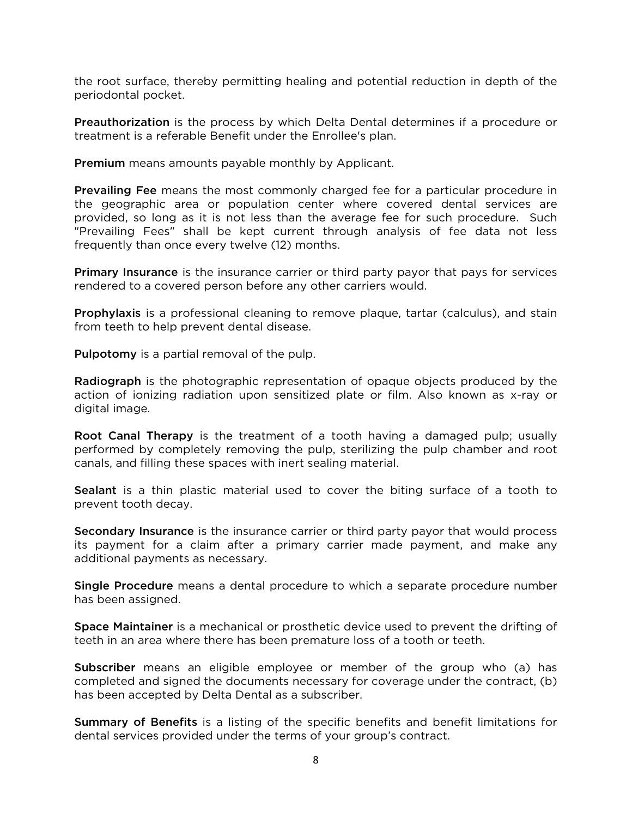the root surface, thereby permitting healing and potential reduction in depth of the periodontal pocket.

Preauthorization is the process by which Delta Dental determines if a procedure or treatment is a referable Benefit under the Enrollee's plan.

**Premium** means amounts payable monthly by Applicant.

Prevailing Fee means the most commonly charged fee for a particular procedure in the geographic area or population center where covered dental services are provided, so long as it is not less than the average fee for such procedure. Such "Prevailing Fees" shall be kept current through analysis of fee data not less frequently than once every twelve (12) months.

**Primary Insurance** is the insurance carrier or third party payor that pays for services rendered to a covered person before any other carriers would.

**Prophylaxis** is a professional cleaning to remove plaque, tartar (calculus), and stain from teeth to help prevent dental disease.

**Pulpotomy** is a partial removal of the pulp.

Radiograph is the photographic representation of opaque objects produced by the action of ionizing radiation upon sensitized plate or film. Also known as x-ray or digital image.

Root Canal Therapy is the treatment of a tooth having a damaged pulp; usually performed by completely removing the pulp, sterilizing the pulp chamber and root canals, and filling these spaces with inert sealing material.

Sealant is a thin plastic material used to cover the biting surface of a tooth to prevent tooth decay.

Secondary Insurance is the insurance carrier or third party payor that would process its payment for a claim after a primary carrier made payment, and make any additional payments as necessary.

Single Procedure means a dental procedure to which a separate procedure number has been assigned.

Space Maintainer is a mechanical or prosthetic device used to prevent the drifting of teeth in an area where there has been premature loss of a tooth or teeth.

Subscriber means an eligible employee or member of the group who (a) has completed and signed the documents necessary for coverage under the contract, (b) has been accepted by Delta Dental as a subscriber.

Summary of Benefits is a listing of the specific benefits and benefit limitations for dental services provided under the terms of your group's contract.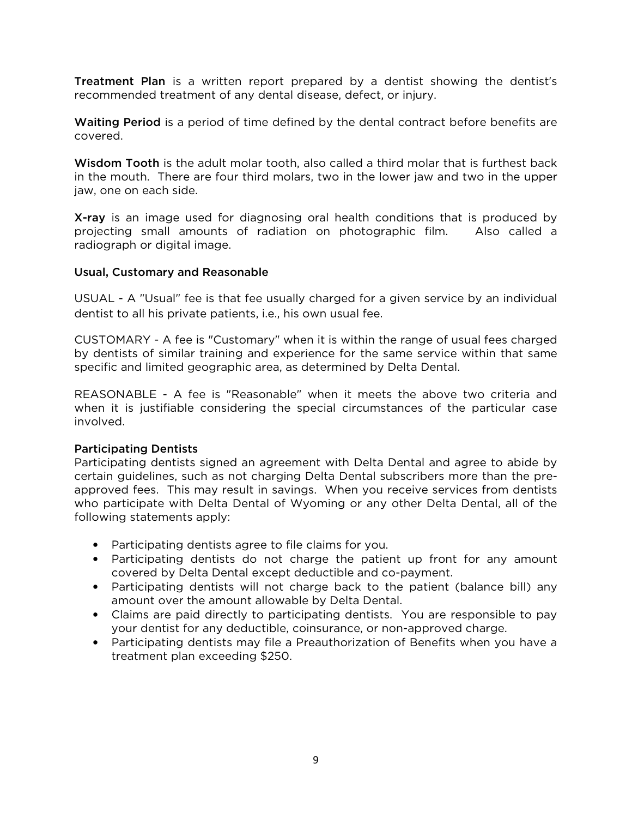Treatment Plan is a written report prepared by a dentist showing the dentist's recommended treatment of any dental disease, defect, or injury.

Waiting Period is a period of time defined by the dental contract before benefits are covered.

Wisdom Tooth is the adult molar tooth, also called a third molar that is furthest back in the mouth. There are four third molars, two in the lower jaw and two in the upper jaw, one on each side.

X-ray is an image used for diagnosing oral health conditions that is produced by projecting small amounts of radiation on photographic film. Also called a radiograph or digital image.

## Usual, Customary and Reasonable

USUAL - A "Usual" fee is that fee usually charged for a given service by an individual dentist to all his private patients, i.e., his own usual fee.

CUSTOMARY - A fee is "Customary" when it is within the range of usual fees charged by dentists of similar training and experience for the same service within that same specific and limited geographic area, as determined by Delta Dental.

REASONABLE - A fee is "Reasonable" when it meets the above two criteria and when it is justifiable considering the special circumstances of the particular case involved.

## Participating Dentists

Participating dentists signed an agreement with Delta Dental and agree to abide by certain guidelines, such as not charging Delta Dental subscribers more than the preapproved fees. This may result in savings. When you receive services from dentists who participate with Delta Dental of Wyoming or any other Delta Dental, all of the following statements apply:

- Participating dentists agree to file claims for you.
- Participating dentists do not charge the patient up front for any amount covered by Delta Dental except deductible and co-payment.
- Participating dentists will not charge back to the patient (balance bill) any amount over the amount allowable by Delta Dental.
- Claims are paid directly to participating dentists. You are responsible to pay your dentist for any deductible, coinsurance, or non-approved charge.
- Participating dentists may file a Preauthorization of Benefits when you have a treatment plan exceeding \$250.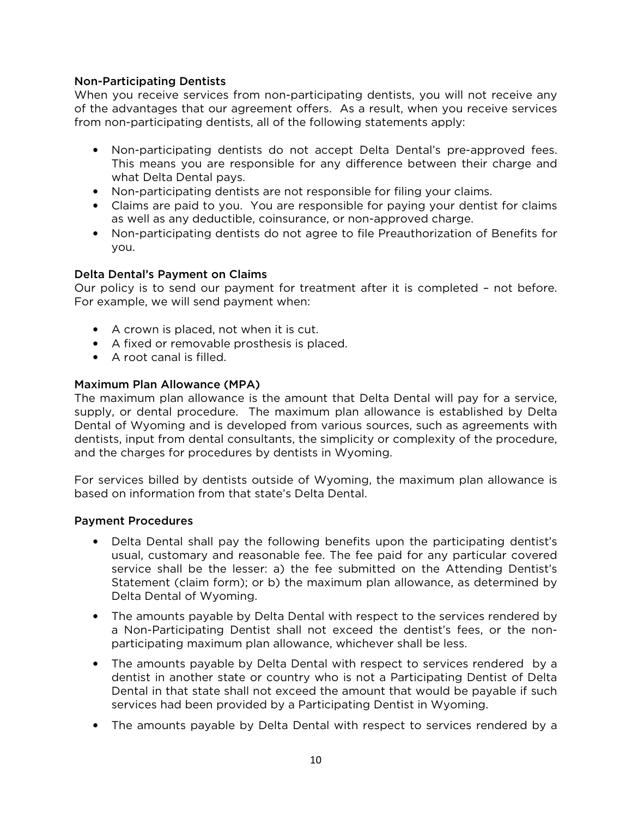## Non-Participating Dentists

When you receive services from non-participating dentists, you will not receive any of the advantages that our agreement offers. As a result, when you receive services from non-participating dentists, all of the following statements apply:

- Non-participating dentists do not accept Delta Dental's pre-approved fees. This means you are responsible for any difference between their charge and what Delta Dental pays.
- Non-participating dentists are not responsible for filing your claims.
- Claims are paid to you. You are responsible for paying your dentist for claims as well as any deductible, coinsurance, or non-approved charge.
- Non-participating dentists do not agree to file Preauthorization of Benefits for you.

## Delta Dental's Payment on Claims

Our policy is to send our payment for treatment after it is completed – not before. For example, we will send payment when:

- A crown is placed, not when it is cut.
- A fixed or removable prosthesis is placed.
- A root canal is filled.

## Maximum Plan Allowance (MPA)

The maximum plan allowance is the amount that Delta Dental will pay for a service, supply, or dental procedure. The maximum plan allowance is established by Delta Dental of Wyoming and is developed from various sources, such as agreements with dentists, input from dental consultants, the simplicity or complexity of the procedure, and the charges for procedures by dentists in Wyoming.

For services billed by dentists outside of Wyoming, the maximum plan allowance is based on information from that state's Delta Dental.

#### Payment Procedures

- Delta Dental shall pay the following benefits upon the participating dentist's usual, customary and reasonable fee. The fee paid for any particular covered service shall be the lesser: a) the fee submitted on the Attending Dentist's Statement (claim form); or b) the maximum plan allowance, as determined by Delta Dental of Wyoming.
- The amounts payable by Delta Dental with respect to the services rendered by a Non-Participating Dentist shall not exceed the dentist's fees, or the nonparticipating maximum plan allowance, whichever shall be less.
- The amounts payable by Delta Dental with respect to services rendered by a dentist in another state or country who is not a Participating Dentist of Delta Dental in that state shall not exceed the amount that would be payable if such services had been provided by a Participating Dentist in Wyoming.
- The amounts payable by Delta Dental with respect to services rendered by a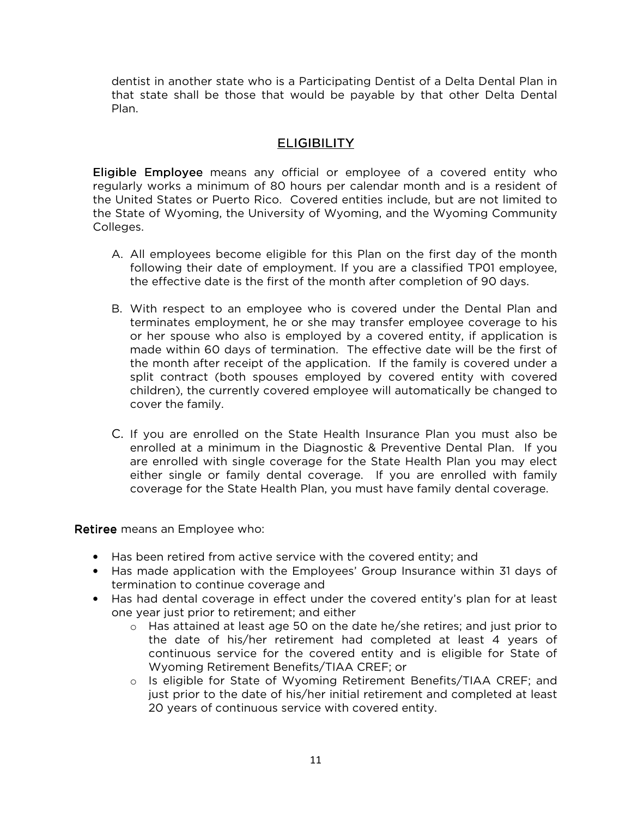dentist in another state who is a Participating Dentist of a Delta Dental Plan in that state shall be those that would be payable by that other Delta Dental Plan.

# **ELIGIBILITY**

**Eligible Employee** means any official or employee of a covered entity who regularly works a minimum of 80 hours per calendar month and is a resident of the United States or Puerto Rico. Covered entities include, but are not limited to the State of Wyoming, the University of Wyoming, and the Wyoming Community Colleges.

- A. All employees become eligible for this Plan on the first day of the month following their date of employment. If you are a classified TP01 employee, the effective date is the first of the month after completion of 90 days.
- B. With respect to an employee who is covered under the Dental Plan and terminates employment, he or she may transfer employee coverage to his or her spouse who also is employed by a covered entity, if application is made within 60 days of termination. The effective date will be the first of the month after receipt of the application. If the family is covered under a split contract (both spouses employed by covered entity with covered children), the currently covered employee will automatically be changed to cover the family.
- C. If you are enrolled on the State Health Insurance Plan you must also be enrolled at a minimum in the Diagnostic & Preventive Dental Plan. If you are enrolled with single coverage for the State Health Plan you may elect either single or family dental coverage. If you are enrolled with family coverage for the State Health Plan, you must have family dental coverage.

Retiree means an Employee who:

- Has been retired from active service with the covered entity; and
- Has made application with the Employees' Group Insurance within 31 days of termination to continue coverage and
- Has had dental coverage in effect under the covered entity's plan for at least one year just prior to retirement; and either
	- o Has attained at least age 50 on the date he/she retires; and just prior to the date of his/her retirement had completed at least 4 years of continuous service for the covered entity and is eligible for State of Wyoming Retirement Benefits/TIAA CREF; or
	- o Is eligible for State of Wyoming Retirement Benefits/TIAA CREF; and just prior to the date of his/her initial retirement and completed at least 20 years of continuous service with covered entity.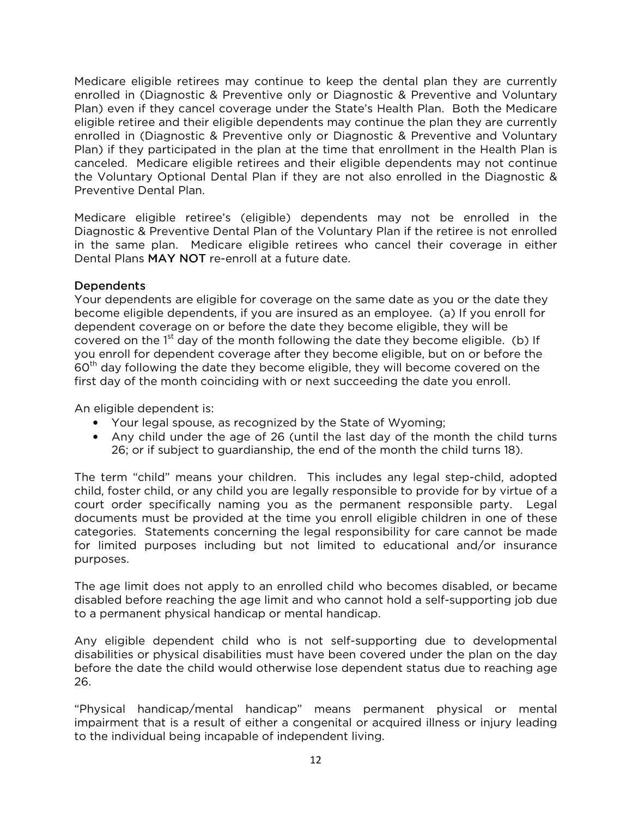Medicare eligible retirees may continue to keep the dental plan they are currently enrolled in (Diagnostic & Preventive only or Diagnostic & Preventive and Voluntary Plan) even if they cancel coverage under the State's Health Plan. Both the Medicare eligible retiree and their eligible dependents may continue the plan they are currently enrolled in (Diagnostic & Preventive only or Diagnostic & Preventive and Voluntary Plan) if they participated in the plan at the time that enrollment in the Health Plan is canceled. Medicare eligible retirees and their eligible dependents may not continue the Voluntary Optional Dental Plan if they are not also enrolled in the Diagnostic & Preventive Dental Plan.

Medicare eligible retiree's (eligible) dependents may not be enrolled in the Diagnostic & Preventive Dental Plan of the Voluntary Plan if the retiree is not enrolled in the same plan. Medicare eligible retirees who cancel their coverage in either Dental Plans MAY NOT re-enroll at a future date.

## Dependents

Your dependents are eligible for coverage on the same date as you or the date they become eligible dependents, if you are insured as an employee. (a) If you enroll for dependent coverage on or before the date they become eligible, they will be covered on the  $1<sup>st</sup>$  day of the month following the date they become eligible. (b) If you enroll for dependent coverage after they become eligible, but on or before the  $60<sup>th</sup>$  day following the date they become eligible, they will become covered on the first day of the month coinciding with or next succeeding the date you enroll.

An eligible dependent is:

- Your legal spouse, as recognized by the State of Wyoming;
- Any child under the age of 26 (until the last day of the month the child turns 26; or if subject to guardianship, the end of the month the child turns 18).

The term "child" means your children. This includes any legal step-child, adopted child, foster child, or any child you are legally responsible to provide for by virtue of a court order specifically naming you as the permanent responsible party. Legal documents must be provided at the time you enroll eligible children in one of these categories. Statements concerning the legal responsibility for care cannot be made for limited purposes including but not limited to educational and/or insurance purposes.

The age limit does not apply to an enrolled child who becomes disabled, or became disabled before reaching the age limit and who cannot hold a self-supporting job due to a permanent physical handicap or mental handicap.

Any eligible dependent child who is not self-supporting due to developmental disabilities or physical disabilities must have been covered under the plan on the day before the date the child would otherwise lose dependent status due to reaching age 26.

"Physical handicap/mental handicap" means permanent physical or mental impairment that is a result of either a congenital or acquired illness or injury leading to the individual being incapable of independent living.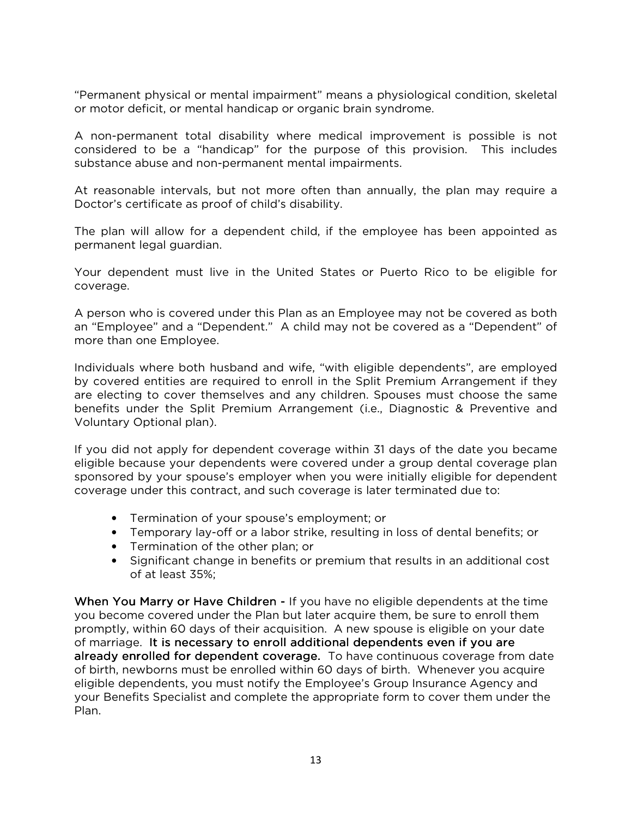"Permanent physical or mental impairment" means a physiological condition, skeletal or motor deficit, or mental handicap or organic brain syndrome.

A non-permanent total disability where medical improvement is possible is not considered to be a "handicap" for the purpose of this provision. This includes substance abuse and non-permanent mental impairments.

At reasonable intervals, but not more often than annually, the plan may require a Doctor's certificate as proof of child's disability.

The plan will allow for a dependent child, if the employee has been appointed as permanent legal guardian.

Your dependent must live in the United States or Puerto Rico to be eligible for coverage.

A person who is covered under this Plan as an Employee may not be covered as both an "Employee" and a "Dependent." A child may not be covered as a "Dependent" of more than one Employee.

Individuals where both husband and wife, "with eligible dependents", are employed by covered entities are required to enroll in the Split Premium Arrangement if they are electing to cover themselves and any children. Spouses must choose the same benefits under the Split Premium Arrangement (i.e., Diagnostic & Preventive and Voluntary Optional plan).

If you did not apply for dependent coverage within 31 days of the date you became eligible because your dependents were covered under a group dental coverage plan sponsored by your spouse's employer when you were initially eligible for dependent coverage under this contract, and such coverage is later terminated due to:

- Termination of your spouse's employment; or
- Temporary lay-off or a labor strike, resulting in loss of dental benefits; or
- Termination of the other plan; or
- Significant change in benefits or premium that results in an additional cost of at least 35%;

When You Marry or Have Children - If you have no eligible dependents at the time you become covered under the Plan but later acquire them, be sure to enroll them promptly, within 60 days of their acquisition. A new spouse is eligible on your date of marriage. It is necessary to enroll additional dependents even if you are already enrolled for dependent coverage. To have continuous coverage from date of birth, newborns must be enrolled within 60 days of birth. Whenever you acquire eligible dependents, you must notify the Employee's Group Insurance Agency and your Benefits Specialist and complete the appropriate form to cover them under the Plan.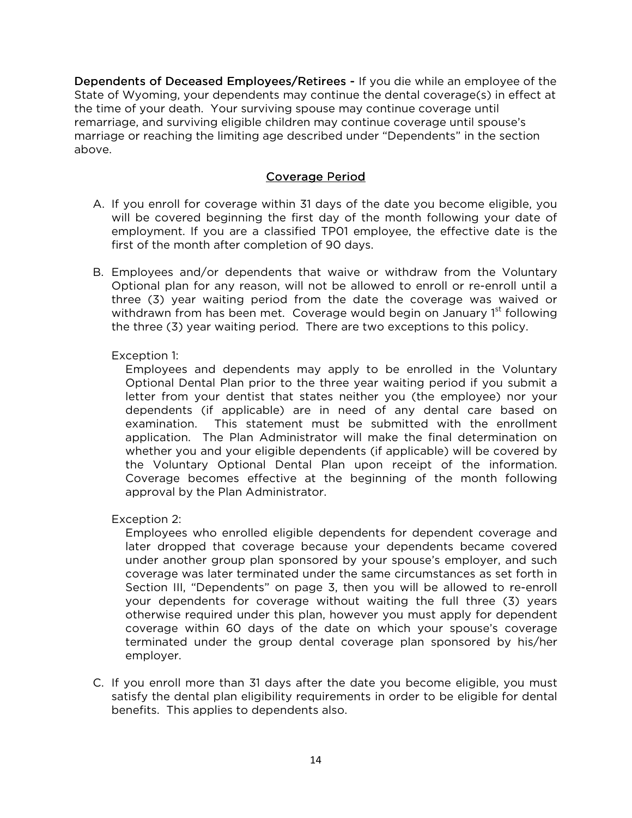Dependents of Deceased Employees/Retirees - If you die while an employee of the State of Wyoming, your dependents may continue the dental coverage(s) in effect at the time of your death. Your surviving spouse may continue coverage until remarriage, and surviving eligible children may continue coverage until spouse's marriage or reaching the limiting age described under "Dependents" in the section above.

## Coverage Period

- A. If you enroll for coverage within 31 days of the date you become eligible, you will be covered beginning the first day of the month following your date of employment. If you are a classified TP01 employee, the effective date is the first of the month after completion of 90 days.
- B. Employees and/or dependents that waive or withdraw from the Voluntary Optional plan for any reason, will not be allowed to enroll or re-enroll until a three (3) year waiting period from the date the coverage was waived or withdrawn from has been met. Coverage would begin on January 1<sup>st</sup> following the three (3) year waiting period. There are two exceptions to this policy.

## Exception 1:

Employees and dependents may apply to be enrolled in the Voluntary Optional Dental Plan prior to the three year waiting period if you submit a letter from your dentist that states neither you (the employee) nor your dependents (if applicable) are in need of any dental care based on examination. This statement must be submitted with the enrollment application. The Plan Administrator will make the final determination on whether you and your eligible dependents (if applicable) will be covered by the Voluntary Optional Dental Plan upon receipt of the information. Coverage becomes effective at the beginning of the month following approval by the Plan Administrator.

Exception 2:

Employees who enrolled eligible dependents for dependent coverage and later dropped that coverage because your dependents became covered under another group plan sponsored by your spouse's employer, and such coverage was later terminated under the same circumstances as set forth in Section III, "Dependents" on page 3, then you will be allowed to re-enroll your dependents for coverage without waiting the full three (3) years otherwise required under this plan, however you must apply for dependent coverage within 60 days of the date on which your spouse's coverage terminated under the group dental coverage plan sponsored by his/her employer.

C. If you enroll more than 31 days after the date you become eligible, you must satisfy the dental plan eligibility requirements in order to be eligible for dental benefits. This applies to dependents also.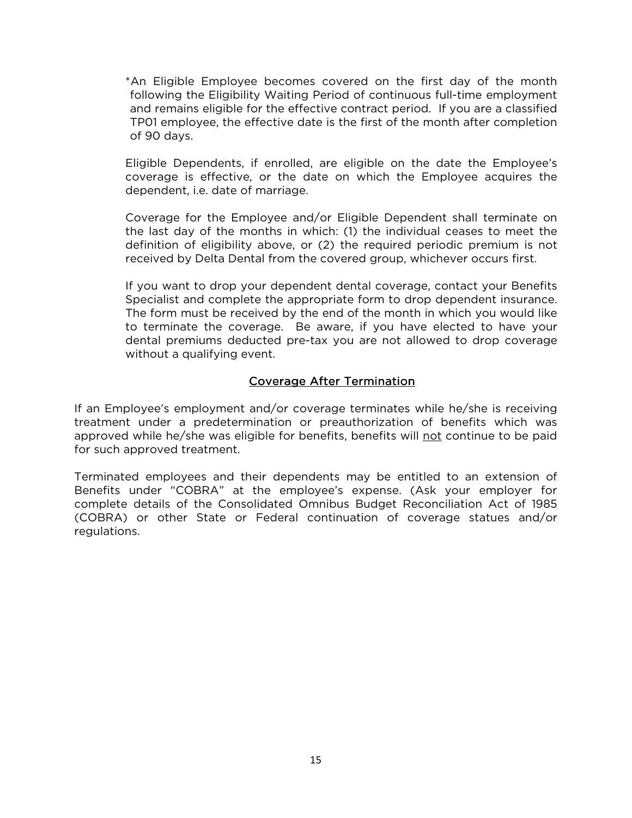\*An Eligible Employee becomes covered on the first day of the month following the Eligibility Waiting Period of continuous full-time employment and remains eligible for the effective contract period. If you are a classified TP01 employee, the effective date is the first of the month after completion of 90 days.

Eligible Dependents, if enrolled, are eligible on the date the Employee's coverage is effective, or the date on which the Employee acquires the dependent, i.e. date of marriage.

Coverage for the Employee and/or Eligible Dependent shall terminate on the last day of the months in which: (1) the individual ceases to meet the definition of eligibility above, or (2) the required periodic premium is not received by Delta Dental from the covered group, whichever occurs first.

If you want to drop your dependent dental coverage, contact your Benefits Specialist and complete the appropriate form to drop dependent insurance. The form must be received by the end of the month in which you would like to terminate the coverage. Be aware, if you have elected to have your dental premiums deducted pre-tax you are not allowed to drop coverage without a qualifying event.

## Coverage After Termination

If an Employee's employment and/or coverage terminates while he/she is receiving treatment under a predetermination or preauthorization of benefits which was approved while he/she was eligible for benefits, benefits will not continue to be paid for such approved treatment.

Terminated employees and their dependents may be entitled to an extension of Benefits under "COBRA" at the employee's expense. (Ask your employer for complete details of the Consolidated Omnibus Budget Reconciliation Act of 1985 (COBRA) or other State or Federal continuation of coverage statues and/or regulations.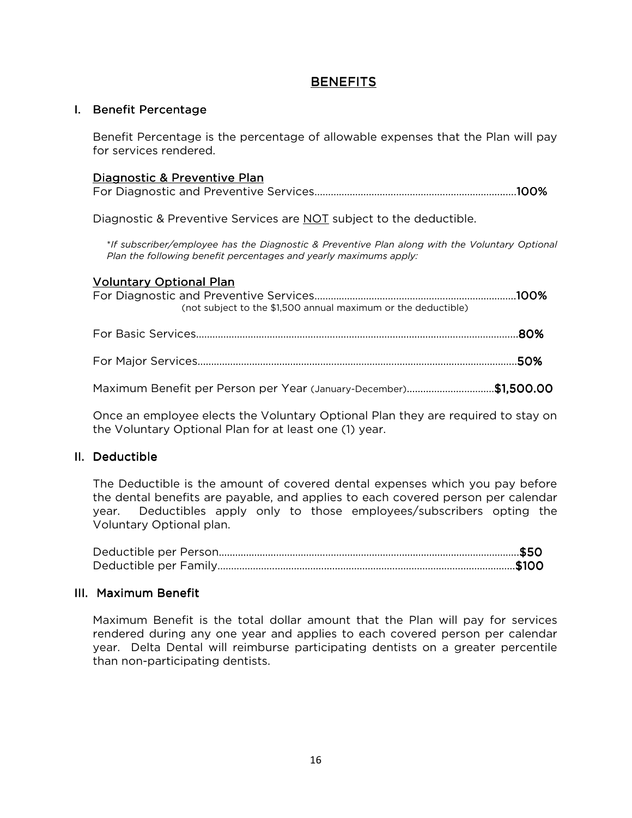## **BENEFITS**

## I. Benefit Percentage

Benefit Percentage is the percentage of allowable expenses that the Plan will pay for services rendered.

## Diagnostic & Preventive Plan

For Diagnostic and Preventive Services…………………………………………………………........100%

Diagnostic & Preventive Services are NOT subject to the deductible.

\**If subscriber/employee has the Diagnostic & Preventive Plan along with the Voluntary Optional Plan the following benefit percentages and yearly maximums apply:* 

### Voluntary Optional Plan

| (not subject to the \$1,500 annual maximum or the deductible)    |  |
|------------------------------------------------------------------|--|
|                                                                  |  |
|                                                                  |  |
| Maximum Benefit per Person per Year (January-December)\$1,500.00 |  |

Once an employee elects the Voluntary Optional Plan they are required to stay on the Voluntary Optional Plan for at least one (1) year.

## II. Deductible

The Deductible is the amount of covered dental expenses which you pay before the dental benefits are payable, and applies to each covered person per calendar year. Deductibles apply only to those employees/subscribers opting the Voluntary Optional plan.

#### III. Maximum Benefit

Maximum Benefit is the total dollar amount that the Plan will pay for services rendered during any one year and applies to each covered person per calendar year. Delta Dental will reimburse participating dentists on a greater percentile than non-participating dentists.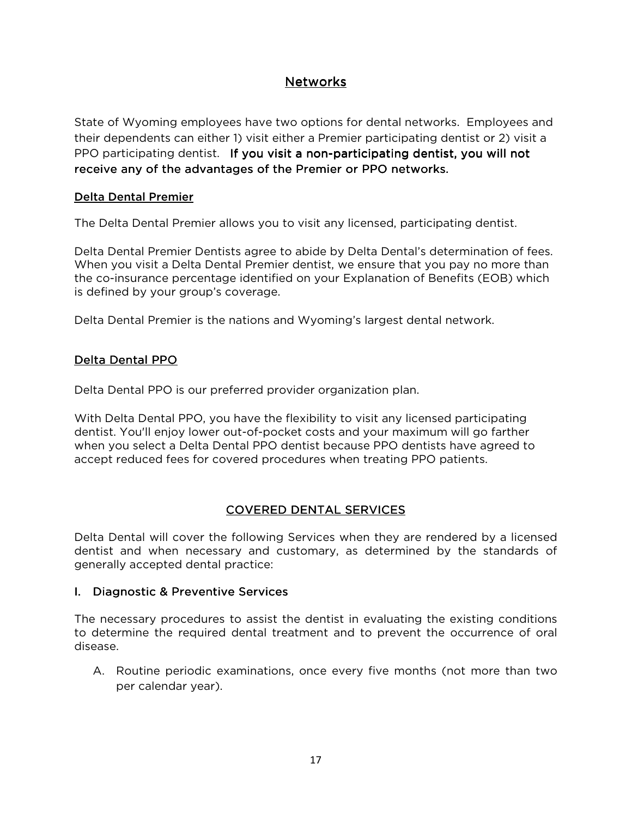# **Networks**

State of Wyoming employees have two options for dental networks. Employees and their dependents can either 1) visit either a Premier participating dentist or 2) visit a PPO participating dentist. If you visit a non-participating dentist, you will not receive any of the advantages of the Premier or PPO networks.

## Delta Dental Premier

The Delta Dental Premier allows you to visit any licensed, participating dentist.

Delta Dental Premier Dentists agree to abide by Delta Dental's determination of fees. When you visit a Delta Dental Premier dentist, we ensure that you pay no more than the co-insurance percentage identified on your Explanation of Benefits (EOB) which is defined by your group's coverage.

Delta Dental Premier is the nations and Wyoming's largest dental network.

## Delta Dental PPO

Delta Dental PPO is our preferred provider organization plan.

With Delta Dental PPO, you have the flexibility to visit any licensed participating dentist. You'll enjoy lower out-of-pocket costs and your maximum will go farther when you select a Delta Dental PPO dentist because PPO dentists have agreed to accept reduced fees for covered procedures when treating PPO patients.

# COVERED DENTAL SERVICES

Delta Dental will cover the following Services when they are rendered by a licensed dentist and when necessary and customary, as determined by the standards of generally accepted dental practice:

## I. Diagnostic & Preventive Services

The necessary procedures to assist the dentist in evaluating the existing conditions to determine the required dental treatment and to prevent the occurrence of oral disease.

A. Routine periodic examinations, once every five months (not more than two per calendar year).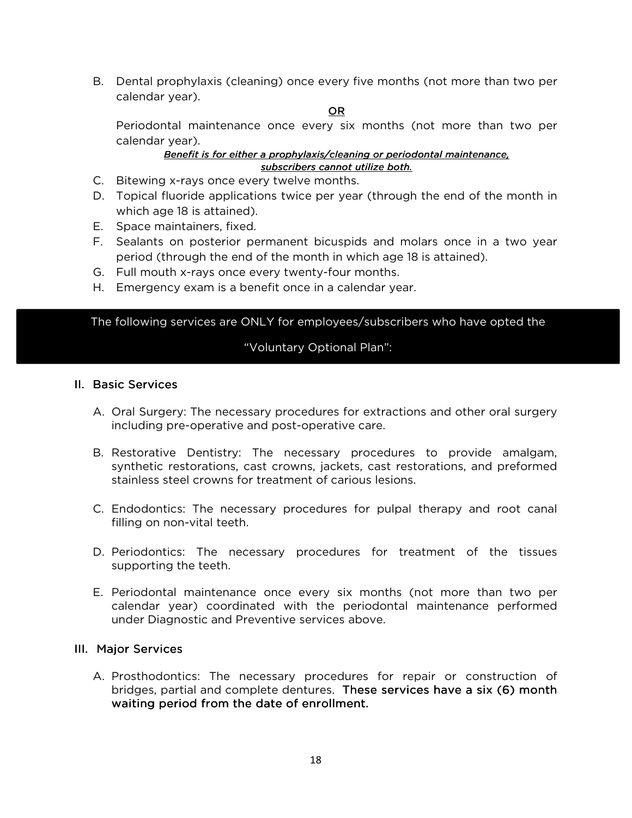B. Dental prophylaxis (cleaning) once every five months (not more than two per calendar year).

#### OR

Periodontal maintenance once every six months (not more than two per calendar year).

#### *Benefit is for either a prophylaxis/cleaning or periodontal maintenance, subscribers cannot utilize both. both.*

- C. Bitewing x-rays once every twelve months.
- D. Topical fluoride applications twice per year (through the end of the month in which age 18 is attained).
- E. Space maintainers, fixed.
- F. Sealants on posterior permanent bicuspids and molars once in a two year period (through the end of the month in which age 18 is attained).
- G. Full mouth x-rays once every twenty-four months.
- H. Emergency exam is a benefit once in a calendar year.

The following services are ONLY for employees/subscribers who have opted the

## "Voluntary Optional Plan":

#### II. Basic Services

- A. Oral Surgery: The necessary procedures for extractions and other oral surgery including pre-operative and post-operative care.
- B. Restorative Dentistry: The necessary procedures to provide amalgam, synthetic restorations, cast crowns, jackets, cast restorations, and preformed stainless steel crowns for treatment of carious lesions.
- C. Endodontics: The necessary procedures for pulpal therapy and root canal filling on non-vital teeth.
- D. Periodontics: The necessary procedures for treatment of the tissues supporting the teeth.
- E. Periodontal maintenance once every six months (not more than two per calendar year) coordinated with the periodontal maintenance performed under Diagnostic and Preventive services above.

#### III. Major Services

A. Prosthodontics: The necessary procedures for repair or construction of bridges, partial and complete dentures. These services have a six (6) month waiting period from the date of enrollment.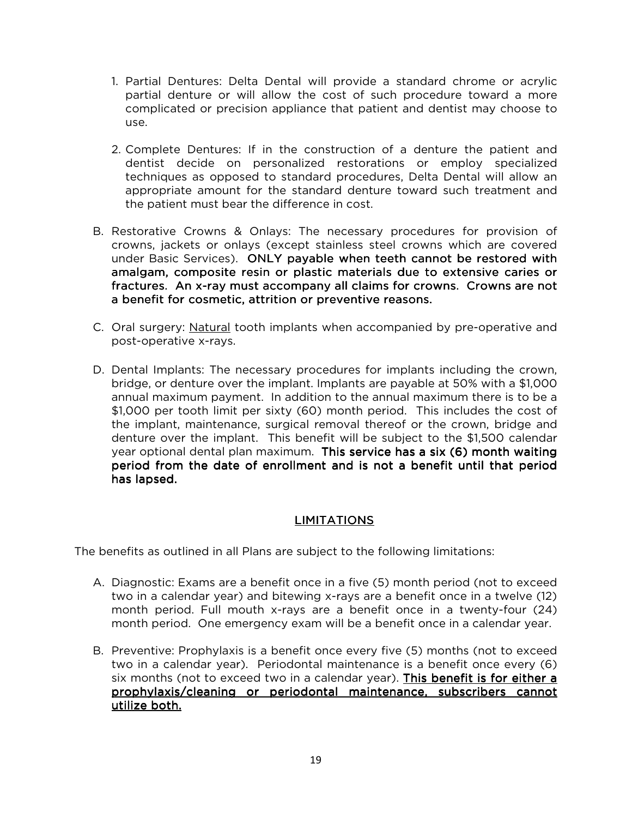- 1. Partial Dentures: Delta Dental will provide a standard chrome or acrylic partial denture or will allow the cost of such procedure toward a more complicated or precision appliance that patient and dentist may choose to use.
- 2. Complete Dentures: If in the construction of a denture the patient and dentist decide on personalized restorations or employ specialized techniques as opposed to standard procedures, Delta Dental will allow an appropriate amount for the standard denture toward such treatment and the patient must bear the difference in cost.
- B. Restorative Crowns & Onlays: The necessary procedures for provision of crowns, jackets or onlays (except stainless steel crowns which are covered under Basic Services). ONLY payable when teeth cannot be restored with amalgam, composite resin or plastic materials due to extensive caries or fractures. An x-ray must accompany all claims for crowns. Crowns are not a benefit for cosmetic, attrition or preventive reasons.
- C. Oral surgery: Natural tooth implants when accompanied by pre-operative and post-operative x-rays.
- D. Dental Implants: The necessary procedures for implants including the crown, bridge, or denture over the implant. Implants are payable at 50% with a \$1,000 annual maximum payment. In addition to the annual maximum there is to be a \$1,000 per tooth limit per sixty (60) month period. This includes the cost of the implant, maintenance, surgical removal thereof or the crown, bridge and denture over the implant. This benefit will be subject to the \$1,500 calendar year optional dental plan maximum. This service has a six (6) month waiting period from the date of enrollment and is not a benefit until that period has lapsed.

## LIMITATIONS

The benefits as outlined in all Plans are subject to the following limitations:

- A. Diagnostic: Exams are a benefit once in a five (5) month period (not to exceed two in a calendar year) and bitewing x-rays are a benefit once in a twelve (12) month period. Full mouth x-rays are a benefit once in a twenty-four (24) month period. One emergency exam will be a benefit once in a calendar year.
- B. Preventive: Prophylaxis is a benefit once every five (5) months (not to exceed two in a calendar year). Periodontal maintenance is a benefit once every (6) six months (not to exceed two in a calendar year). **This benefit is for either a** prophylaxis/cleaning or periodontal maintenance, subscribers cannot utilize both.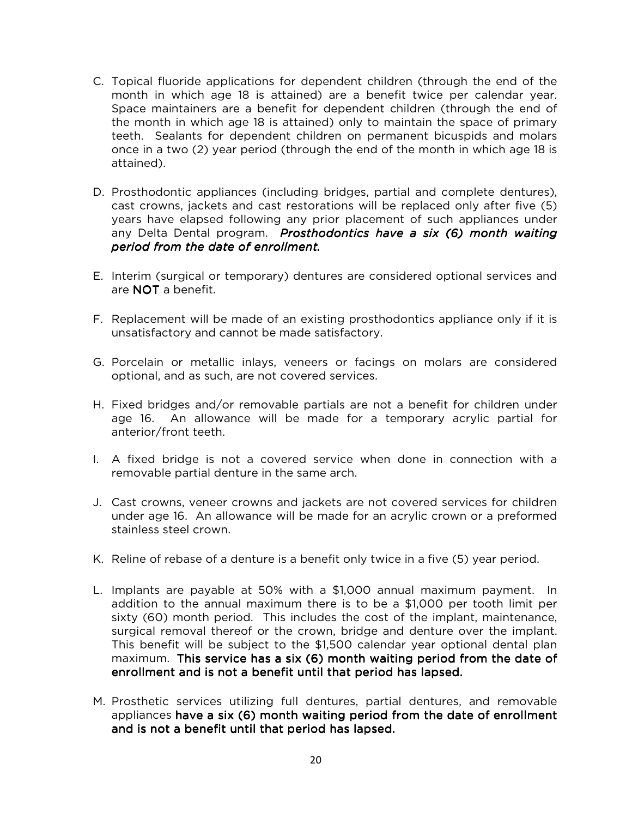- C. Topical fluoride applications for dependent children (through the end of the month in which age 18 is attained) are a benefit twice per calendar year. Space maintainers are a benefit for dependent children (through the end of the month in which age 18 is attained) only to maintain the space of primary teeth. Sealants for dependent children on permanent bicuspids and molars once in a two (2) year period (through the end of the month in which age 18 is attained).
- D. Prosthodontic appliances (including bridges, partial and complete dentures), cast crowns, jackets and cast restorations will be replaced only after five (5) years have elapsed following any prior placement of such appliances under any Delta Dental program. *Prosthodontics have a six (6) month waiting period from the date of enrollment.*
- E. Interim (surgical or temporary) dentures are considered optional services and are NOT a benefit.
- F. Replacement will be made of an existing prosthodontics appliance only if it is unsatisfactory and cannot be made satisfactory.
- G. Porcelain or metallic inlays, veneers or facings on molars are considered optional, and as such, are not covered services.
- H. Fixed bridges and/or removable partials are not a benefit for children under age 16. An allowance will be made for a temporary acrylic partial for anterior/front teeth.
- I. A fixed bridge is not a covered service when done in connection with a removable partial denture in the same arch.
- J. Cast crowns, veneer crowns and jackets are not covered services for children under age 16. An allowance will be made for an acrylic crown or a preformed stainless steel crown.
- K. Reline of rebase of a denture is a benefit only twice in a five (5) year period.
- L. Implants are payable at 50% with a \$1,000 annual maximum payment. In addition to the annual maximum there is to be a \$1,000 per tooth limit per sixty (60) month period. This includes the cost of the implant, maintenance, surgical removal thereof or the crown, bridge and denture over the implant. This benefit will be subject to the \$1,500 calendar year optional dental plan maximum. This service has a six (6) month waiting period from the date of enrollment and is not a benefit until that period has lapsed.
- M. Prosthetic services utilizing full dentures, partial dentures, and removable appliances have a six (6) month waiting period from the date of enrollment and is not a benefit until that period has lapsed.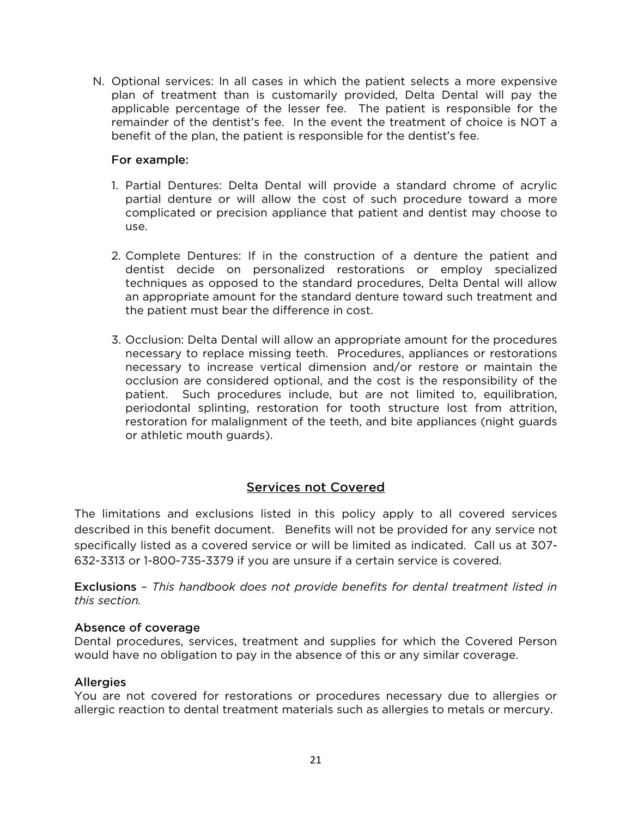N. Optional services: In all cases in which the patient selects a more expensive plan of treatment than is customarily provided, Delta Dental will pay the applicable percentage of the lesser fee. The patient is responsible for the remainder of the dentist's fee. In the event the treatment of choice is NOT a benefit of the plan, the patient is responsible for the dentist's fee.

## For example:

- 1. Partial Dentures: Delta Dental will provide a standard chrome of acrylic partial denture or will allow the cost of such procedure toward a more complicated or precision appliance that patient and dentist may choose to use.
- 2. Complete Dentures: If in the construction of a denture the patient and dentist decide on personalized restorations or employ specialized techniques as opposed to the standard procedures, Delta Dental will allow an appropriate amount for the standard denture toward such treatment and the patient must bear the difference in cost.
- 3. Occlusion: Delta Dental will allow an appropriate amount for the procedures necessary to replace missing teeth. Procedures, appliances or restorations necessary to increase vertical dimension and/or restore or maintain the occlusion are considered optional, and the cost is the responsibility of the patient. Such procedures include, but are not limited to, equilibration, periodontal splinting, restoration for tooth structure lost from attrition, restoration for malalignment of the teeth, and bite appliances (night guards or athletic mouth guards).

# Services not Covered

The limitations and exclusions listed in this policy apply to all covered services described in this benefit document. Benefits will not be provided for any service not specifically listed as a covered service or will be limited as indicated. Call us at 307- 632-3313 or 1-800-735-3379 if you are unsure if a certain service is covered.

Exclusions – Exclusions *This handbook does not provide benefits for dental treatment listed in this section.* 

## Absence of coverage

Dental procedures, services, treatment and supplies for which the Covered Person would have no obligation to pay in the absence of this or any similar coverage.

## **Allergies**

You are not covered for restorations or procedures necessary due to allergies or allergic reaction to dental treatment materials such as allergies to metals or mercury.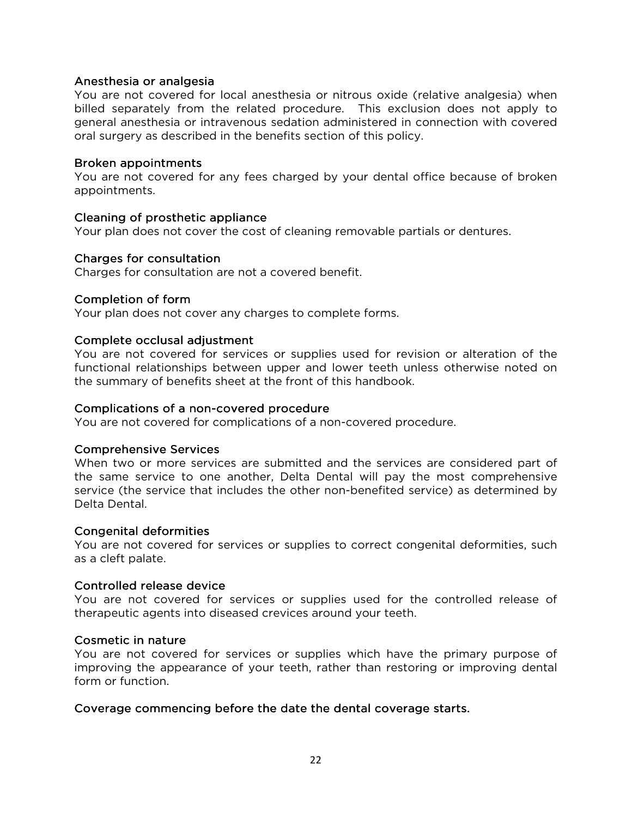#### Anesthesia or analgesia

You are not covered for local anesthesia or nitrous oxide (relative analgesia) when billed separately from the related procedure. This exclusion does not apply to general anesthesia or intravenous sedation administered in connection with covered oral surgery as described in the benefits section of this policy.

#### Broken appointments

You are not covered for any fees charged by your dental office because of broken appointments.

### Cleaning of prosthetic appliance

Your plan does not cover the cost of cleaning removable partials or dentures.

### Charges for consultation

Charges for consultation are not a covered benefit.

### Completion of form

Your plan does not cover any charges to complete forms.

### Complete occlusal adjustment

You are not covered for services or supplies used for revision or alteration of the functional relationships between upper and lower teeth unless otherwise noted on the summary of benefits sheet at the front of this handbook.

### Complications of a non-covered procedure

You are not covered for complications of a non-covered procedure.

#### Comprehensive Services

When two or more services are submitted and the services are considered part of the same service to one another, Delta Dental will pay the most comprehensive service (the service that includes the other non-benefited service) as determined by Delta Dental.

#### **Congenital deformities**

You are not covered for services or supplies to correct congenital deformities, such as a cleft palate.

#### Controlled release device

You are not covered for services or supplies used for the controlled release of therapeutic agents into diseased crevices around your teeth.

#### Cosmetic in nature

You are not covered for services or supplies which have the primary purpose of improving the appearance of your teeth, rather than restoring or improving dental form or function.

#### Coverage commencing before the date the dental coverage starts.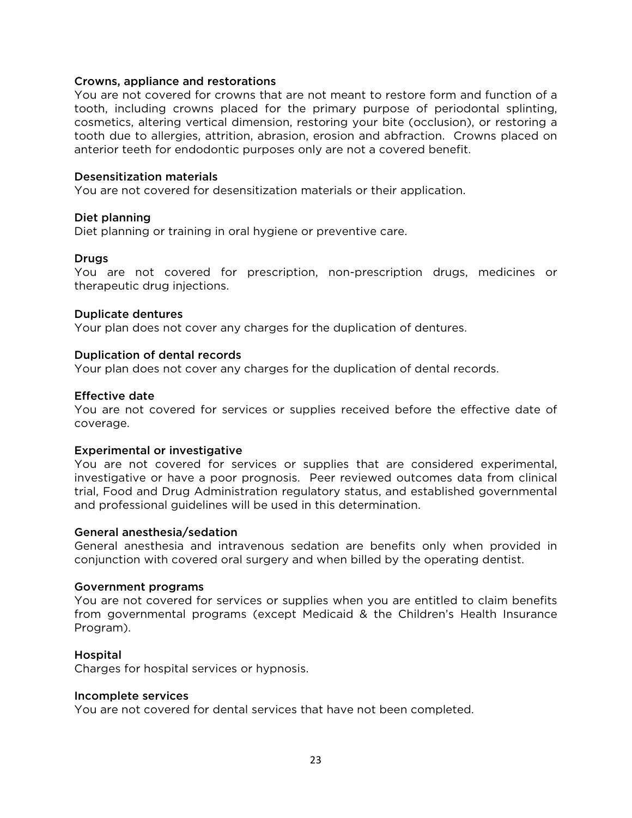#### Crowns, appliance and restorations

You are not covered for crowns that are not meant to restore form and function of a tooth, including crowns placed for the primary purpose of periodontal splinting, cosmetics, altering vertical dimension, restoring your bite (occlusion), or restoring a tooth due to allergies, attrition, abrasion, erosion and abfraction. Crowns placed on anterior teeth for endodontic purposes only are not a covered benefit.

#### Desensitization materials

You are not covered for desensitization materials or their application.

### Diet planning

Diet planning or training in oral hygiene or preventive care.

### Drugs

You are not covered for prescription, non-prescription drugs, medicines or therapeutic drug injections.

### Duplicate dentures

Your plan does not cover any charges for the duplication of dentures.

### Duplication of dental records

Your plan does not cover any charges for the duplication of dental records.

### Effective date

You are not covered for services or supplies received before the effective date of coverage.

#### Experimental or investigative

You are not covered for services or supplies that are considered experimental, investigative or have a poor prognosis. Peer reviewed outcomes data from clinical trial, Food and Drug Administration regulatory status, and established governmental and professional guidelines will be used in this determination.

#### General anesthesia/sedation

General anesthesia and intravenous sedation are benefits only when provided in conjunction with covered oral surgery and when billed by the operating dentist.

#### Government programs

You are not covered for services or supplies when you are entitled to claim benefits from governmental programs (except Medicaid & the Children's Health Insurance Program).

#### Hospital

Charges for hospital services or hypnosis.

#### Incomplete services

You are not covered for dental services that have not been completed.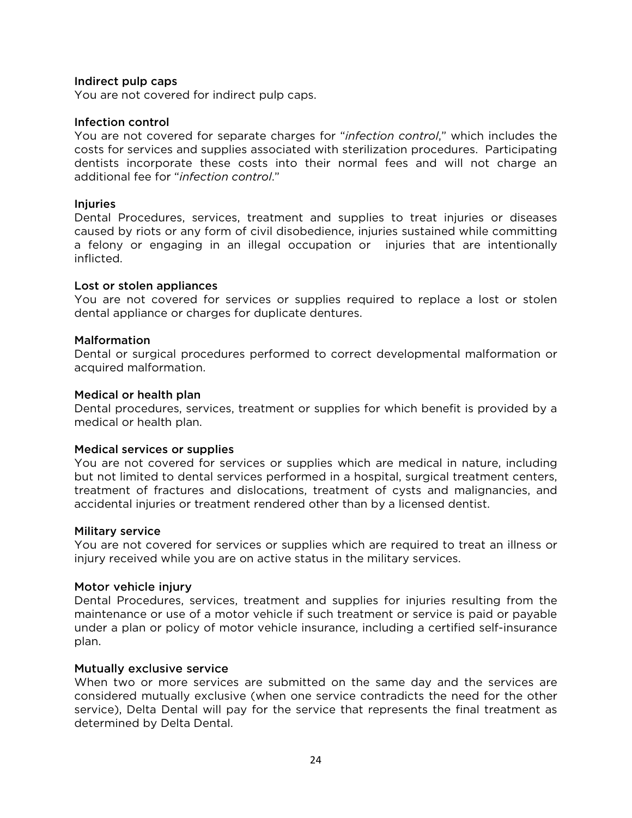#### Indirect pulp caps

You are not covered for indirect pulp caps.

#### Infection control

You are not covered for separate charges for "*infection control*," which includes the costs for services and supplies associated with sterilization procedures. Participating dentists incorporate these costs into their normal fees and will not charge an additional fee for "*infection control*."

## Injuries

Dental Procedures, services, treatment and supplies to treat injuries or diseases caused by riots or any form of civil disobedience, injuries sustained while committing a felony or engaging in an illegal occupation or injuries that are intentionally inflicted.

### Lost or stolen appliances

You are not covered for services or supplies required to replace a lost or stolen dental appliance or charges for duplicate dentures.

### **Malformation**

Dental or surgical procedures performed to correct developmental malformation or acquired malformation.

#### Medical or health plan

Dental procedures, services, treatment or supplies for which benefit is provided by a medical or health plan.

#### Medical services or supplies

You are not covered for services or supplies which are medical in nature, including but not limited to dental services performed in a hospital, surgical treatment centers, treatment of fractures and dislocations, treatment of cysts and malignancies, and accidental injuries or treatment rendered other than by a licensed dentist.

#### Military service

You are not covered for services or supplies which are required to treat an illness or injury received while you are on active status in the military services.

#### Motor vehicle injury

Dental Procedures, services, treatment and supplies for injuries resulting from the maintenance or use of a motor vehicle if such treatment or service is paid or payable under a plan or policy of motor vehicle insurance, including a certified self-insurance plan.

## Mutually exclusive service

When two or more services are submitted on the same day and the services are considered mutually exclusive (when one service contradicts the need for the other service), Delta Dental will pay for the service that represents the final treatment as determined by Delta Dental.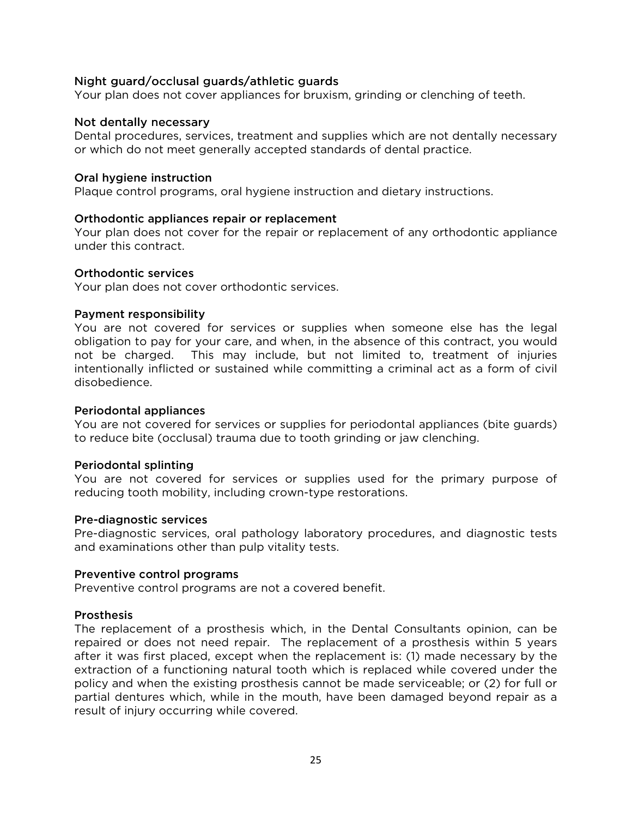## Night guard/occlusal guards/athletic guards

Your plan does not cover appliances for bruxism, grinding or clenching of teeth.

#### Not dentally necessary

Dental procedures, services, treatment and supplies which are not dentally necessary or which do not meet generally accepted standards of dental practice.

### Oral hygiene instruction

Plaque control programs, oral hygiene instruction and dietary instructions.

### Orthodontic appliances repair or replacement

Your plan does not cover for the repair or replacement of any orthodontic appliance under this contract.

#### Orthodontic services

Your plan does not cover orthodontic services.

### Payment responsibility

You are not covered for services or supplies when someone else has the legal obligation to pay for your care, and when, in the absence of this contract, you would not be charged. This may include, but not limited to, treatment of injuries intentionally inflicted or sustained while committing a criminal act as a form of civil disobedience.

#### Periodontal appliances

You are not covered for services or supplies for periodontal appliances (bite guards) to reduce bite (occlusal) trauma due to tooth grinding or jaw clenching.

#### Periodontal splinting

You are not covered for services or supplies used for the primary purpose of reducing tooth mobility, including crown-type restorations.

#### Pre-diagnostic services

Pre-diagnostic services, oral pathology laboratory procedures, and diagnostic tests and examinations other than pulp vitality tests.

#### Preventive control programs

Preventive control programs are not a covered benefit.

## **Prosthesis**

The replacement of a prosthesis which, in the Dental Consultants opinion, can be repaired or does not need repair. The replacement of a prosthesis within 5 years after it was first placed, except when the replacement is: (1) made necessary by the extraction of a functioning natural tooth which is replaced while covered under the policy and when the existing prosthesis cannot be made serviceable; or (2) for full or partial dentures which, while in the mouth, have been damaged beyond repair as a result of injury occurring while covered.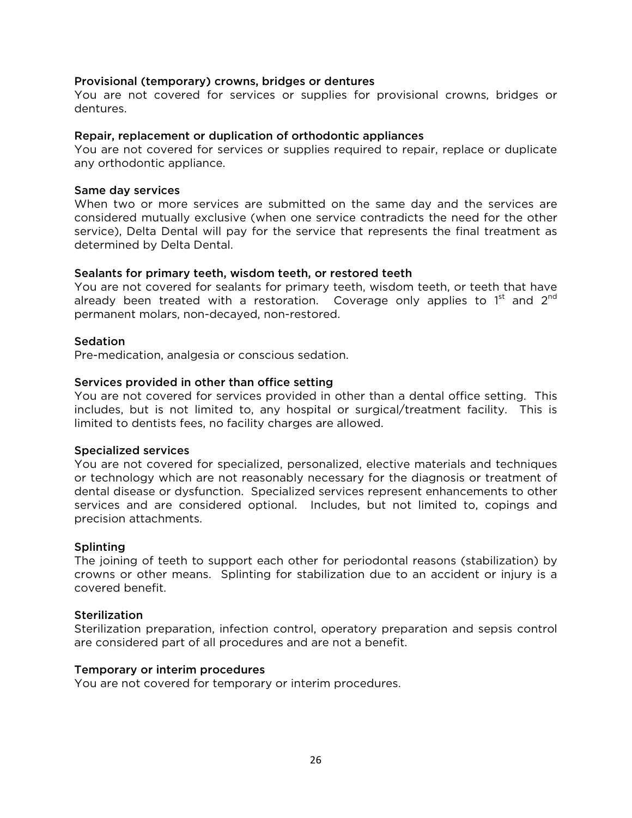### Provisional (temporary) crowns, bridges or dentures

You are not covered for services or supplies for provisional crowns, bridges or dentures.

#### Repair, replacement or duplication of orthodontic appliances

You are not covered for services or supplies required to repair, replace or duplicate any orthodontic appliance.

#### Same day services

When two or more services are submitted on the same day and the services are considered mutually exclusive (when one service contradicts the need for the other service), Delta Dental will pay for the service that represents the final treatment as determined by Delta Dental.

#### Sealants for primary teeth, wisdom teeth, or restored teeth

You are not covered for sealants for primary teeth, wisdom teeth, or teeth that have already been treated with a restoration. Coverage only applies to  $1<sup>st</sup>$  and  $2<sup>nd</sup>$ permanent molars, non-decayed, non-restored.

#### **Sedation**

Pre-medication, analgesia or conscious sedation.

## Services provided in other than office setting

You are not covered for services provided in other than a dental office setting. This includes, but is not limited to, any hospital or surgical/treatment facility. This is limited to dentists fees, no facility charges are allowed.

#### Specialized services

You are not covered for specialized, personalized, elective materials and techniques or technology which are not reasonably necessary for the diagnosis or treatment of dental disease or dysfunction. Specialized services represent enhancements to other services and are considered optional. Includes, but not limited to, copings and precision attachments.

#### Splinting

The joining of teeth to support each other for periodontal reasons (stabilization) by crowns or other means. Splinting for stabilization due to an accident or injury is a covered benefit.

## **Sterilization**

Sterilization preparation, infection control, operatory preparation and sepsis control are considered part of all procedures and are not a benefit.

#### Temporary or interim procedures

You are not covered for temporary or interim procedures.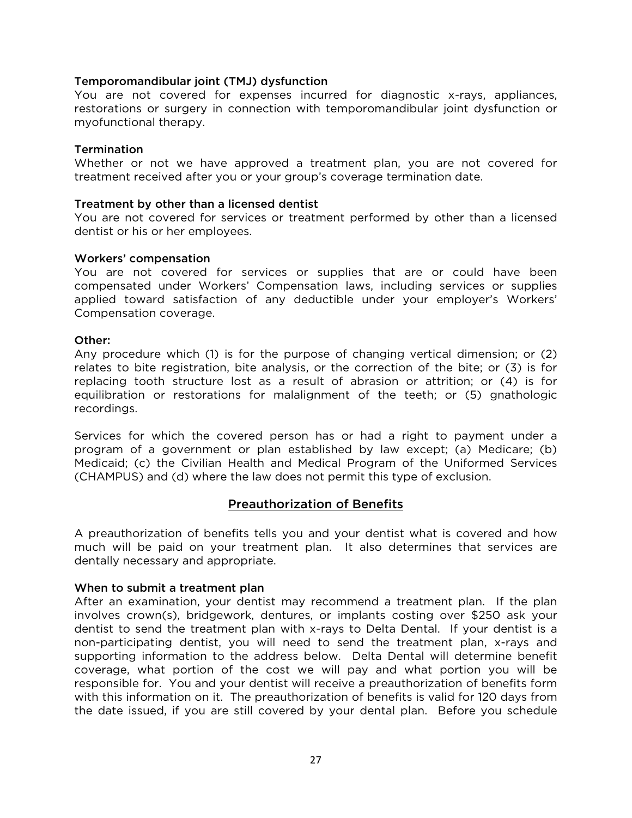## Temporomandibular joint (TMJ) dysfunction

You are not covered for expenses incurred for diagnostic x-rays, appliances, restorations or surgery in connection with temporomandibular joint dysfunction or myofunctional therapy.

#### **Termination**

Whether or not we have approved a treatment plan, you are not covered for treatment received after you or your group's coverage termination date.

#### Treatment by other than a licensed dentist

You are not covered for services or treatment performed by other than a licensed dentist or his or her employees.

#### Workers' compensation

You are not covered for services or supplies that are or could have been compensated under Workers' Compensation laws, including services or supplies applied toward satisfaction of any deductible under your employer's Workers' Compensation coverage.

### Other:

Any procedure which (1) is for the purpose of changing vertical dimension; or (2) relates to bite registration, bite analysis, or the correction of the bite; or (3) is for replacing tooth structure lost as a result of abrasion or attrition; or (4) is for equilibration or restorations for malalignment of the teeth; or (5) gnathologic recordings.

Services for which the covered person has or had a right to payment under a program of a government or plan established by law except; (a) Medicare; (b) Medicaid; (c) the Civilian Health and Medical Program of the Uniformed Services (CHAMPUS) and (d) where the law does not permit this type of exclusion.

## Preauthorization of Benefits

A preauthorization of benefits tells you and your dentist what is covered and how much will be paid on your treatment plan. It also determines that services are dentally necessary and appropriate.

#### When to submit a treatment plan

After an examination, your dentist may recommend a treatment plan. If the plan involves crown(s), bridgework, dentures, or implants costing over \$250 ask your dentist to send the treatment plan with x-rays to Delta Dental. If your dentist is a non-participating dentist, you will need to send the treatment plan, x-rays and supporting information to the address below. Delta Dental will determine benefit coverage, what portion of the cost we will pay and what portion you will be responsible for. You and your dentist will receive a preauthorization of benefits form with this information on it. The preauthorization of benefits is valid for 120 days from the date issued, if you are still covered by your dental plan. Before you schedule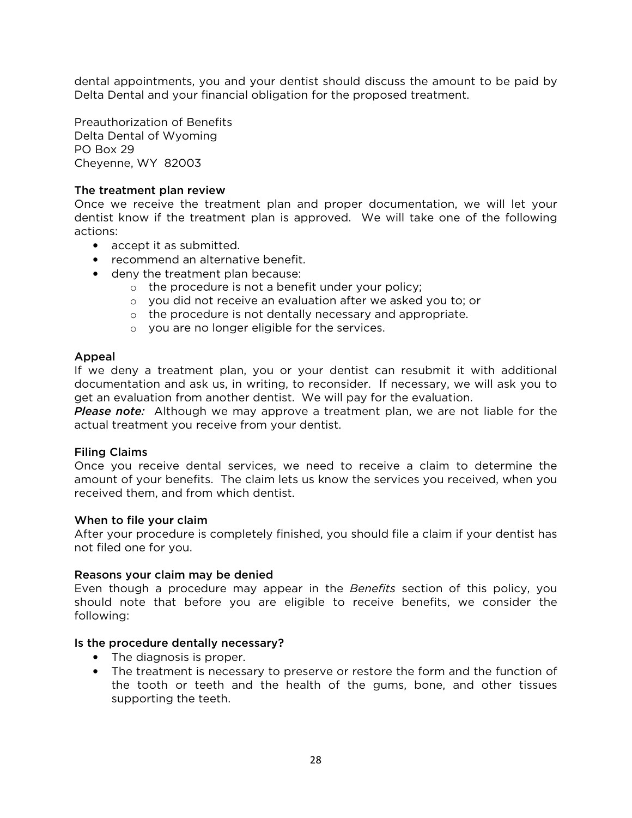dental appointments, you and your dentist should discuss the amount to be paid by Delta Dental and your financial obligation for the proposed treatment.

Preauthorization of Benefits Delta Dental of Wyoming PO Box 29 Cheyenne, WY 82003

## The treatment plan review

Once we receive the treatment plan and proper documentation, we will let your dentist know if the treatment plan is approved. We will take one of the following actions:

- accept it as submitted.
- recommend an alternative benefit.
- deny the treatment plan because:
	- o the procedure is not a benefit under your policy;
	- o you did not receive an evaluation after we asked you to; or
	- o the procedure is not dentally necessary and appropriate.
	- o you are no longer eligible for the services.

#### Appeal

If we deny a treatment plan, you or your dentist can resubmit it with additional documentation and ask us, in writing, to reconsider. If necessary, we will ask you to get an evaluation from another dentist. We will pay for the evaluation.

*Please note:* Although we may approve a treatment plan, we are not liable for the actual treatment you receive from your dentist.

#### Filing Claims

Once you receive dental services, we need to receive a claim to determine the amount of your benefits. The claim lets us know the services you received, when you received them, and from which dentist.

#### When to file your claim

After your procedure is completely finished, you should file a claim if your dentist has not filed one for you.

#### Reasons your claim may be denied

Even though a procedure may appear in the *Benefits* section of this policy, you should note that before you are eligible to receive benefits, we consider the following:

#### Is the procedure dentally necessary?

- The diagnosis is proper.
- The treatment is necessary to preserve or restore the form and the function of the tooth or teeth and the health of the gums, bone, and other tissues supporting the teeth.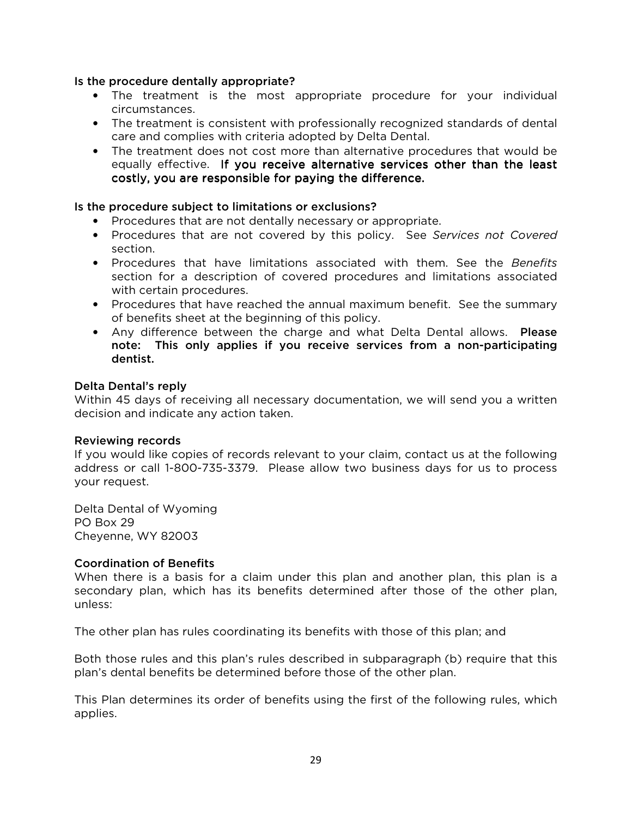### Is the procedure dentally appropriate?

- The treatment is the most appropriate procedure for your individual circumstances.
- The treatment is consistent with professionally recognized standards of dental care and complies with criteria adopted by Delta Dental.
- The treatment does not cost more than alternative procedures that would be equally effective. If you receive alternative services other than the least costly, you are responsible for paying the difference.

## Is the procedure subject to limitations or exclusions?

- Procedures that are not dentally necessary or appropriate.
- Procedures that are not covered by this policy. See *Services not Covered*  section.
- Procedures that have limitations associated with them. See the *Benefits* section for a description of covered procedures and limitations associated with certain procedures.
- Procedures that have reached the annual maximum benefit. See the summary of benefits sheet at the beginning of this policy.
- Any difference between the charge and what Delta Dental allows. Please note: This only applies if you receive services from a non-participating dentist.

## Delta Dental's reply

Within 45 days of receiving all necessary documentation, we will send you a written decision and indicate any action taken.

#### Reviewing records

If you would like copies of records relevant to your claim, contact us at the following address or call 1-800-735-3379. Please allow two business days for us to process your request.

Delta Dental of Wyoming PO Box 29 Cheyenne, WY 82003

## Coordination of Benefits

When there is a basis for a claim under this plan and another plan, this plan is a secondary plan, which has its benefits determined after those of the other plan, unless:

The other plan has rules coordinating its benefits with those of this plan; and

Both those rules and this plan's rules described in subparagraph (b) require that this plan's dental benefits be determined before those of the other plan.

This Plan determines its order of benefits using the first of the following rules, which applies.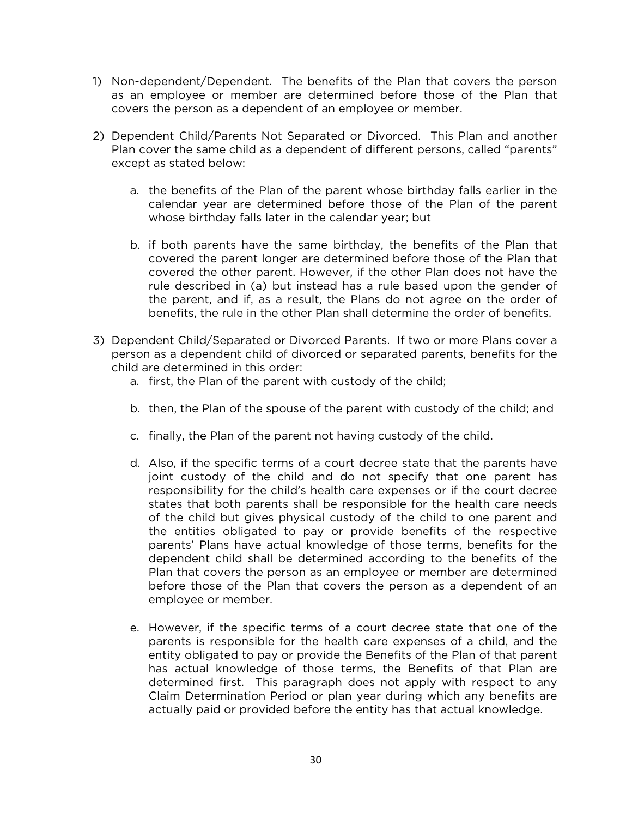- 1) Non-dependent/Dependent. The benefits of the Plan that covers the person as an employee or member are determined before those of the Plan that covers the person as a dependent of an employee or member.
- 2) Dependent Child/Parents Not Separated or Divorced. This Plan and another Plan cover the same child as a dependent of different persons, called "parents" except as stated below:
	- a. the benefits of the Plan of the parent whose birthday falls earlier in the calendar year are determined before those of the Plan of the parent whose birthday falls later in the calendar year; but
	- b. if both parents have the same birthday, the benefits of the Plan that covered the parent longer are determined before those of the Plan that covered the other parent. However, if the other Plan does not have the rule described in (a) but instead has a rule based upon the gender of the parent, and if, as a result, the Plans do not agree on the order of benefits, the rule in the other Plan shall determine the order of benefits.
- 3) Dependent Child/Separated or Divorced Parents. If two or more Plans cover a person as a dependent child of divorced or separated parents, benefits for the child are determined in this order:
	- a. first, the Plan of the parent with custody of the child;
	- b. then, the Plan of the spouse of the parent with custody of the child; and
	- c. finally, the Plan of the parent not having custody of the child.
	- d. Also, if the specific terms of a court decree state that the parents have joint custody of the child and do not specify that one parent has responsibility for the child's health care expenses or if the court decree states that both parents shall be responsible for the health care needs of the child but gives physical custody of the child to one parent and the entities obligated to pay or provide benefits of the respective parents' Plans have actual knowledge of those terms, benefits for the dependent child shall be determined according to the benefits of the Plan that covers the person as an employee or member are determined before those of the Plan that covers the person as a dependent of an employee or member.
	- e. However, if the specific terms of a court decree state that one of the parents is responsible for the health care expenses of a child, and the entity obligated to pay or provide the Benefits of the Plan of that parent has actual knowledge of those terms, the Benefits of that Plan are determined first. This paragraph does not apply with respect to any Claim Determination Period or plan year during which any benefits are actually paid or provided before the entity has that actual knowledge.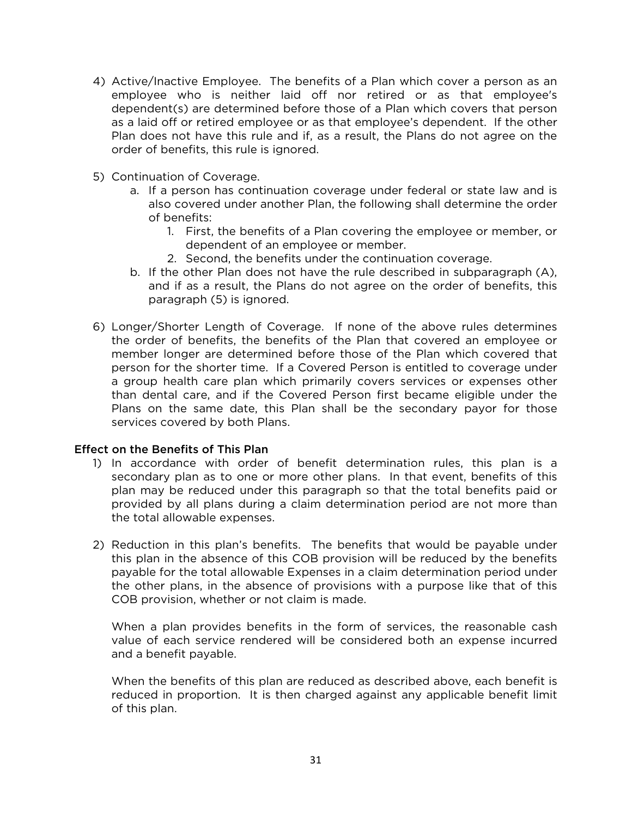- 4) Active/Inactive Employee. The benefits of a Plan which cover a person as an employee who is neither laid off nor retired or as that employee's dependent(s) are determined before those of a Plan which covers that person as a laid off or retired employee or as that employee's dependent. If the other Plan does not have this rule and if, as a result, the Plans do not agree on the order of benefits, this rule is ignored.
- 5) Continuation of Coverage.
	- a. If a person has continuation coverage under federal or state law and is also covered under another Plan, the following shall determine the order of benefits:
		- 1. First, the benefits of a Plan covering the employee or member, or dependent of an employee or member.
		- 2. Second, the benefits under the continuation coverage.
	- b. If the other Plan does not have the rule described in subparagraph (A), and if as a result, the Plans do not agree on the order of benefits, this paragraph (5) is ignored.
- 6) Longer/Shorter Length of Coverage. If none of the above rules determines the order of benefits, the benefits of the Plan that covered an employee or member longer are determined before those of the Plan which covered that person for the shorter time. If a Covered Person is entitled to coverage under a group health care plan which primarily covers services or expenses other than dental care, and if the Covered Person first became eligible under the Plans on the same date, this Plan shall be the secondary payor for those services covered by both Plans.

## Effect on the Benefits of This Plan

- 1) In accordance with order of benefit determination rules, this plan is a secondary plan as to one or more other plans. In that event, benefits of this plan may be reduced under this paragraph so that the total benefits paid or provided by all plans during a claim determination period are not more than the total allowable expenses.
- 2) Reduction in this plan's benefits. The benefits that would be payable under this plan in the absence of this COB provision will be reduced by the benefits payable for the total allowable Expenses in a claim determination period under the other plans, in the absence of provisions with a purpose like that of this COB provision, whether or not claim is made.

When a plan provides benefits in the form of services, the reasonable cash value of each service rendered will be considered both an expense incurred and a benefit payable.

When the benefits of this plan are reduced as described above, each benefit is reduced in proportion. It is then charged against any applicable benefit limit of this plan.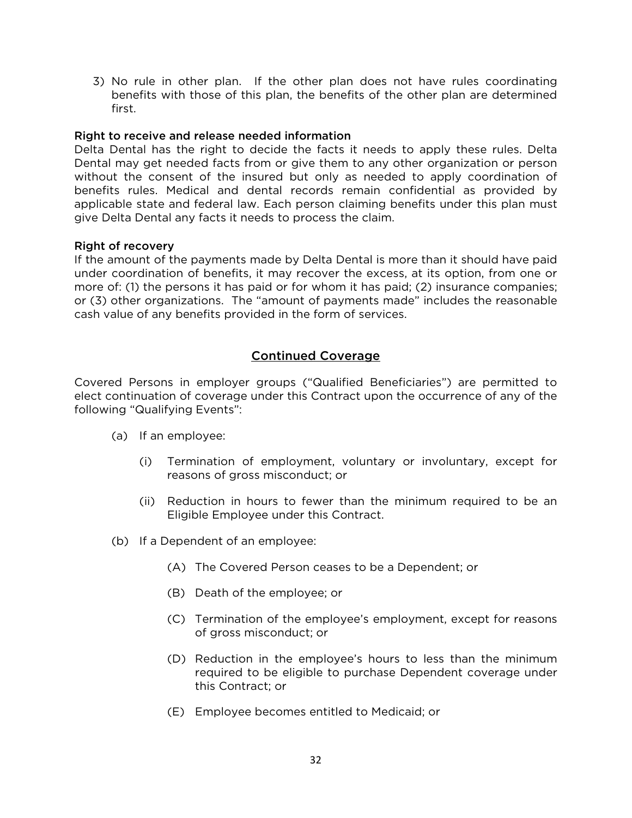3) No rule in other plan. If the other plan does not have rules coordinating benefits with those of this plan, the benefits of the other plan are determined first.

### Right to receive and release needed information

Delta Dental has the right to decide the facts it needs to apply these rules. Delta Dental may get needed facts from or give them to any other organization or person without the consent of the insured but only as needed to apply coordination of benefits rules. Medical and dental records remain confidential as provided by applicable state and federal law. Each person claiming benefits under this plan must give Delta Dental any facts it needs to process the claim.

#### Right of recovery

If the amount of the payments made by Delta Dental is more than it should have paid under coordination of benefits, it may recover the excess, at its option, from one or more of: (1) the persons it has paid or for whom it has paid; (2) insurance companies; or (3) other organizations. The "amount of payments made" includes the reasonable cash value of any benefits provided in the form of services.

## Continued Coverage

Covered Persons in employer groups ("Qualified Beneficiaries") are permitted to elect continuation of coverage under this Contract upon the occurrence of any of the following "Qualifying Events":

- (a) If an employee:
	- (i) Termination of employment, voluntary or involuntary, except for reasons of gross misconduct; or
	- (ii) Reduction in hours to fewer than the minimum required to be an Eligible Employee under this Contract.
- (b) If a Dependent of an employee:
	- (A) The Covered Person ceases to be a Dependent; or
	- (B) Death of the employee; or
	- (C) Termination of the employee's employment, except for reasons of gross misconduct; or
	- (D) Reduction in the employee's hours to less than the minimum required to be eligible to purchase Dependent coverage under this Contract; or
	- (E) Employee becomes entitled to Medicaid; or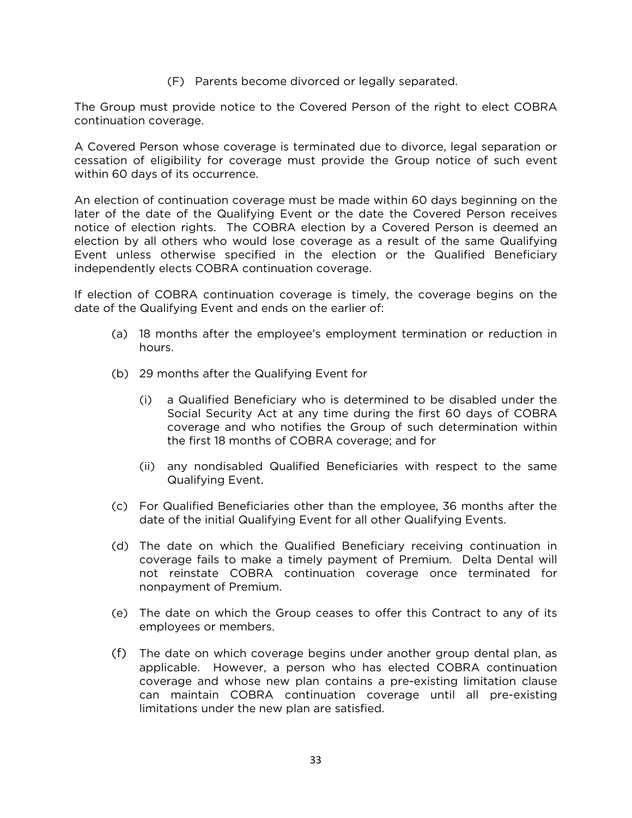(F) Parents become divorced or legally separated.

The Group must provide notice to the Covered Person of the right to elect COBRA continuation coverage.

A Covered Person whose coverage is terminated due to divorce, legal separation or cessation of eligibility for coverage must provide the Group notice of such event within 60 days of its occurrence.

An election of continuation coverage must be made within 60 days beginning on the later of the date of the Qualifying Event or the date the Covered Person receives notice of election rights. The COBRA election by a Covered Person is deemed an election by all others who would lose coverage as a result of the same Qualifying Event unless otherwise specified in the election or the Qualified Beneficiary independently elects COBRA continuation coverage.

If election of COBRA continuation coverage is timely, the coverage begins on the date of the Qualifying Event and ends on the earlier of:

- (a) 18 months after the employee's employment termination or reduction in hours.
- (b) 29 months after the Qualifying Event for
	- (i) a Qualified Beneficiary who is determined to be disabled under the Social Security Act at any time during the first 60 days of COBRA coverage and who notifies the Group of such determination within the first 18 months of COBRA coverage; and for
	- (ii) any nondisabled Qualified Beneficiaries with respect to the same Qualifying Event.
- (c) For Qualified Beneficiaries other than the employee, 36 months after the date of the initial Qualifying Event for all other Qualifying Events.
- (d) The date on which the Qualified Beneficiary receiving continuation in coverage fails to make a timely payment of Premium. Delta Dental will not reinstate COBRA continuation coverage once terminated for nonpayment of Premium.
- (e) The date on which the Group ceases to offer this Contract to any of its employees or members.
- (f) The date on which coverage begins under another group dental plan, as applicable. However, a person who has elected COBRA continuation coverage and whose new plan contains a pre-existing limitation clause can maintain COBRA continuation coverage until all pre-existing limitations under the new plan are satisfied.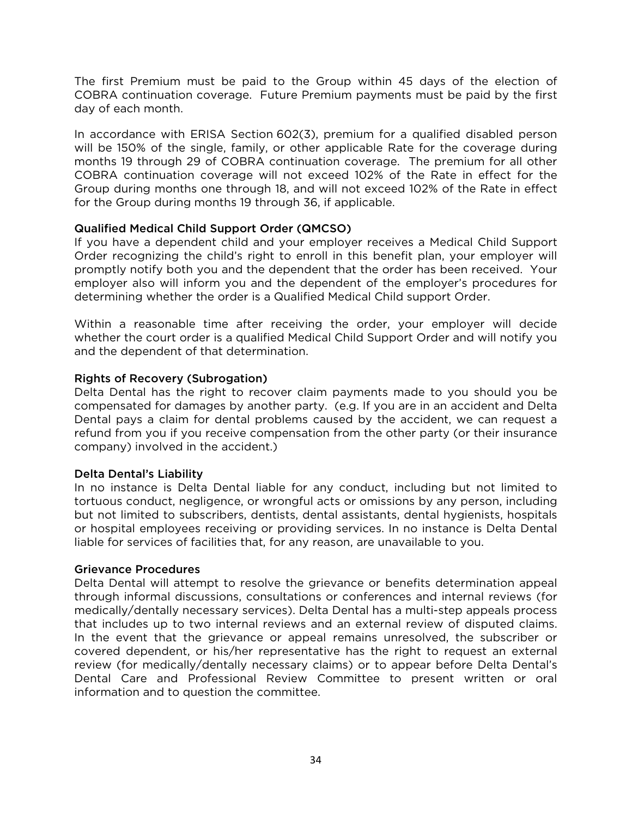The first Premium must be paid to the Group within 45 days of the election of COBRA continuation coverage. Future Premium payments must be paid by the first day of each month.

In accordance with ERISA Section 602(3), premium for a qualified disabled person will be 150% of the single, family, or other applicable Rate for the coverage during months 19 through 29 of COBRA continuation coverage. The premium for all other COBRA continuation coverage will not exceed 102% of the Rate in effect for the Group during months one through 18, and will not exceed 102% of the Rate in effect for the Group during months 19 through 36, if applicable.

## Qualified Medical Child Support Order (QMCSO)

If you have a dependent child and your employer receives a Medical Child Support Order recognizing the child's right to enroll in this benefit plan, your employer will promptly notify both you and the dependent that the order has been received. Your employer also will inform you and the dependent of the employer's procedures for determining whether the order is a Qualified Medical Child support Order.

Within a reasonable time after receiving the order, your employer will decide whether the court order is a qualified Medical Child Support Order and will notify you and the dependent of that determination.

## Rights of Recovery (Subrogation)

Delta Dental has the right to recover claim payments made to you should you be compensated for damages by another party. (e.g. If you are in an accident and Delta Dental pays a claim for dental problems caused by the accident, we can request a refund from you if you receive compensation from the other party (or their insurance company) involved in the accident.)

## Delta Dental's Liability

In no instance is Delta Dental liable for any conduct, including but not limited to tortuous conduct, negligence, or wrongful acts or omissions by any person, including but not limited to subscribers, dentists, dental assistants, dental hygienists, hospitals or hospital employees receiving or providing services. In no instance is Delta Dental liable for services of facilities that, for any reason, are unavailable to you.

## Grievance Procedures

Delta Dental will attempt to resolve the grievance or benefits determination appeal through informal discussions, consultations or conferences and internal reviews (for medically/dentally necessary services). Delta Dental has a multi-step appeals process that includes up to two internal reviews and an external review of disputed claims. In the event that the grievance or appeal remains unresolved, the subscriber or covered dependent, or his/her representative has the right to request an external review (for medically/dentally necessary claims) or to appear before Delta Dental's Dental Care and Professional Review Committee to present written or oral information and to question the committee.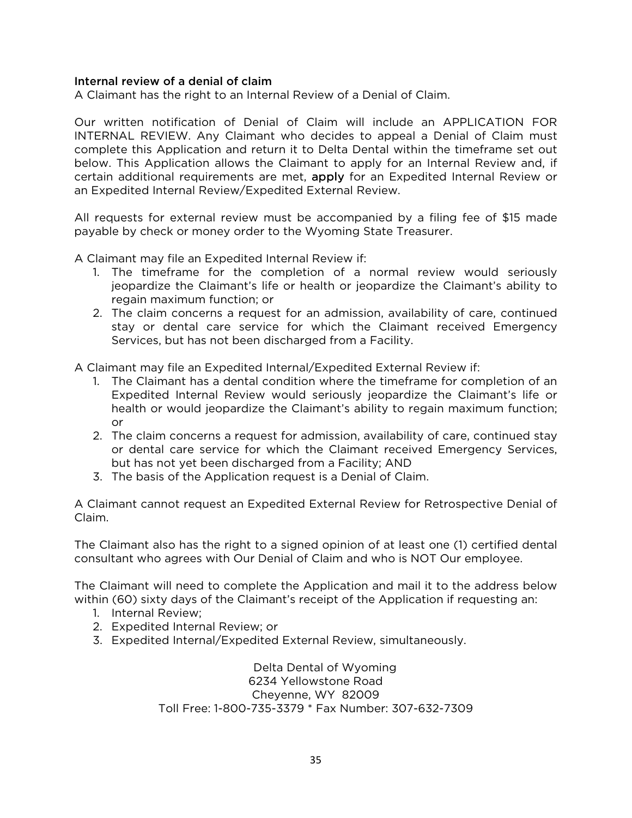## Internal review of a denial of claim

A Claimant has the right to an Internal Review of a Denial of Claim.

Our written notification of Denial of Claim will include an APPLICATION FOR INTERNAL REVIEW. Any Claimant who decides to appeal a Denial of Claim must complete this Application and return it to Delta Dental within the timeframe set out below. This Application allows the Claimant to apply for an Internal Review and, if certain additional requirements are met, **apply** for an Expedited Internal Review or an Expedited Internal Review/Expedited External Review.

All requests for external review must be accompanied by a filing fee of \$15 made payable by check or money order to the Wyoming State Treasurer.

A Claimant may file an Expedited Internal Review if:

- 1. The timeframe for the completion of a normal review would seriously jeopardize the Claimant's life or health or jeopardize the Claimant's ability to regain maximum function; or
- 2. The claim concerns a request for an admission, availability of care, continued stay or dental care service for which the Claimant received Emergency Services, but has not been discharged from a Facility.

A Claimant may file an Expedited Internal/Expedited External Review if:

- 1. The Claimant has a dental condition where the timeframe for completion of an Expedited Internal Review would seriously jeopardize the Claimant's life or health or would jeopardize the Claimant's ability to regain maximum function; or
- 2. The claim concerns a request for admission, availability of care, continued stay or dental care service for which the Claimant received Emergency Services, but has not yet been discharged from a Facility; AND
- 3. The basis of the Application request is a Denial of Claim.

A Claimant cannot request an Expedited External Review for Retrospective Denial of Claim.

The Claimant also has the right to a signed opinion of at least one (1) certified dental consultant who agrees with Our Denial of Claim and who is NOT Our employee.

The Claimant will need to complete the Application and mail it to the address below within (60) sixty days of the Claimant's receipt of the Application if requesting an:

- 1. Internal Review;
- 2. Expedited Internal Review; or
- 3. Expedited Internal/Expedited External Review, simultaneously.

Delta Dental of Wyoming 6234 Yellowstone Road Cheyenne, WY 82009 Toll Free: 1-800-735-3379 \* Fax Number: 307-632-7309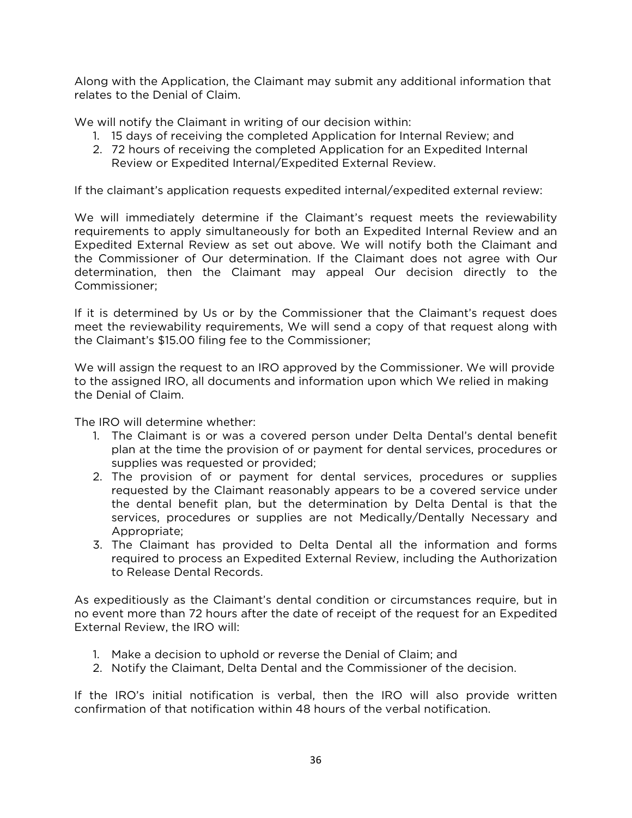Along with the Application, the Claimant may submit any additional information that relates to the Denial of Claim.

We will notify the Claimant in writing of our decision within:

- 1. 15 days of receiving the completed Application for Internal Review; and
- 2. 72 hours of receiving the completed Application for an Expedited Internal Review or Expedited Internal/Expedited External Review.

If the claimant's application requests expedited internal/expedited external review:

We will immediately determine if the Claimant's request meets the reviewability requirements to apply simultaneously for both an Expedited Internal Review and an Expedited External Review as set out above. We will notify both the Claimant and the Commissioner of Our determination. If the Claimant does not agree with Our determination, then the Claimant may appeal Our decision directly to the Commissioner;

If it is determined by Us or by the Commissioner that the Claimant's request does meet the reviewability requirements, We will send a copy of that request along with the Claimant's \$15.00 filing fee to the Commissioner;

We will assign the request to an IRO approved by the Commissioner. We will provide to the assigned IRO, all documents and information upon which We relied in making the Denial of Claim.

The IRO will determine whether:

- 1. The Claimant is or was a covered person under Delta Dental's dental benefit plan at the time the provision of or payment for dental services, procedures or supplies was requested or provided;
- 2. The provision of or payment for dental services, procedures or supplies requested by the Claimant reasonably appears to be a covered service under the dental benefit plan, but the determination by Delta Dental is that the services, procedures or supplies are not Medically/Dentally Necessary and Appropriate;
- 3. The Claimant has provided to Delta Dental all the information and forms required to process an Expedited External Review, including the Authorization to Release Dental Records.

As expeditiously as the Claimant's dental condition or circumstances require, but in no event more than 72 hours after the date of receipt of the request for an Expedited External Review, the IRO will:

- 1. Make a decision to uphold or reverse the Denial of Claim; and
- 2. Notify the Claimant, Delta Dental and the Commissioner of the decision.

If the IRO's initial notification is verbal, then the IRO will also provide written confirmation of that notification within 48 hours of the verbal notification.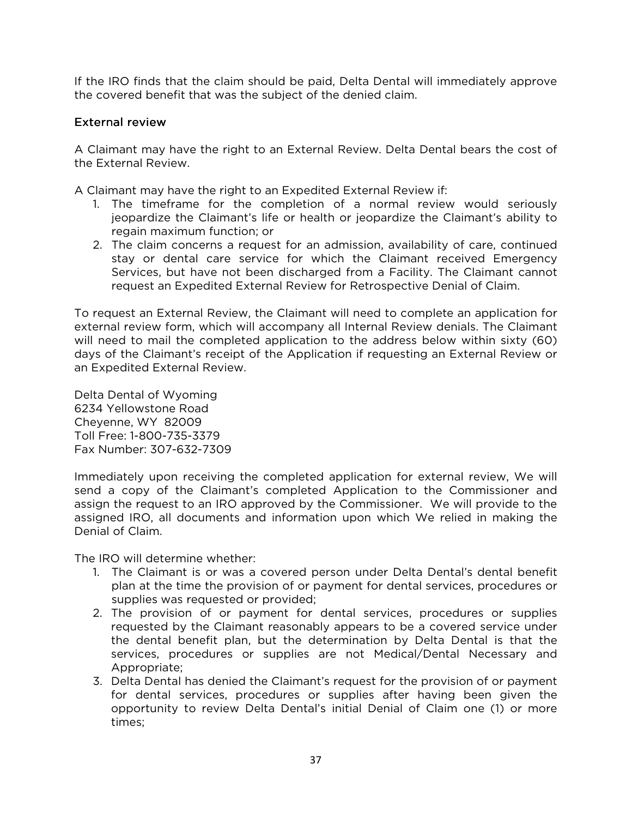If the IRO finds that the claim should be paid, Delta Dental will immediately approve the covered benefit that was the subject of the denied claim.

## External review

A Claimant may have the right to an External Review. Delta Dental bears the cost of the External Review.

A Claimant may have the right to an Expedited External Review if:

- 1. The timeframe for the completion of a normal review would seriously jeopardize the Claimant's life or health or jeopardize the Claimant's ability to regain maximum function; or
- 2. The claim concerns a request for an admission, availability of care, continued stay or dental care service for which the Claimant received Emergency Services, but have not been discharged from a Facility. The Claimant cannot request an Expedited External Review for Retrospective Denial of Claim.

To request an External Review, the Claimant will need to complete an application for external review form, which will accompany all Internal Review denials. The Claimant will need to mail the completed application to the address below within sixty (60) days of the Claimant's receipt of the Application if requesting an External Review or an Expedited External Review.

Delta Dental of Wyoming 6234 Yellowstone Road Cheyenne, WY 82009 Toll Free: 1-800-735-3379 Fax Number: 307-632-7309

Immediately upon receiving the completed application for external review, We will send a copy of the Claimant's completed Application to the Commissioner and assign the request to an IRO approved by the Commissioner. We will provide to the assigned IRO, all documents and information upon which We relied in making the Denial of Claim.

The IRO will determine whether:

- 1. The Claimant is or was a covered person under Delta Dental's dental benefit plan at the time the provision of or payment for dental services, procedures or supplies was requested or provided;
- 2. The provision of or payment for dental services, procedures or supplies requested by the Claimant reasonably appears to be a covered service under the dental benefit plan, but the determination by Delta Dental is that the services, procedures or supplies are not Medical/Dental Necessary and Appropriate;
- 3. Delta Dental has denied the Claimant's request for the provision of or payment for dental services, procedures or supplies after having been given the opportunity to review Delta Dental's initial Denial of Claim one (1) or more times;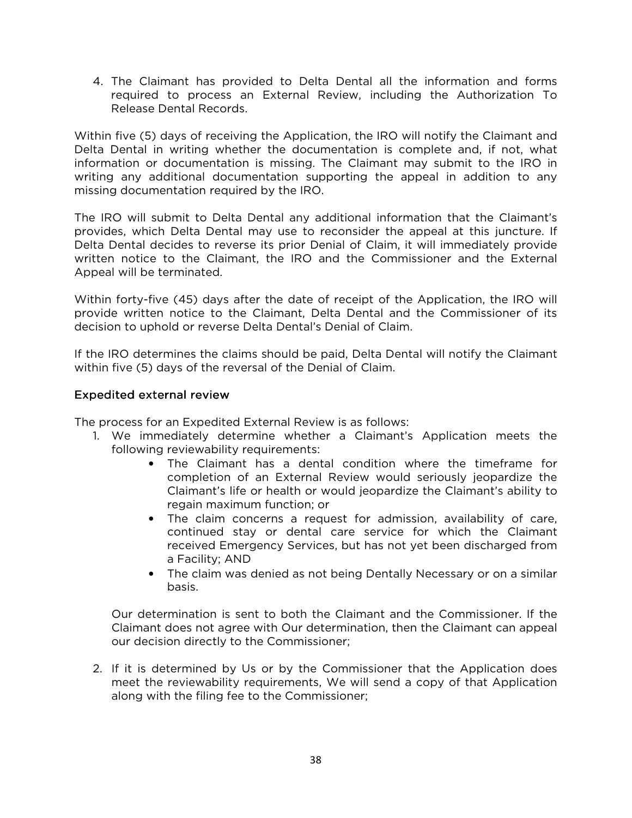4. The Claimant has provided to Delta Dental all the information and forms required to process an External Review, including the Authorization To Release Dental Records.

Within five (5) days of receiving the Application, the IRO will notify the Claimant and Delta Dental in writing whether the documentation is complete and, if not, what information or documentation is missing. The Claimant may submit to the IRO in writing any additional documentation supporting the appeal in addition to any missing documentation required by the IRO.

The IRO will submit to Delta Dental any additional information that the Claimant's provides, which Delta Dental may use to reconsider the appeal at this juncture. If Delta Dental decides to reverse its prior Denial of Claim, it will immediately provide written notice to the Claimant, the IRO and the Commissioner and the External Appeal will be terminated.

Within forty-five (45) days after the date of receipt of the Application, the IRO will provide written notice to the Claimant, Delta Dental and the Commissioner of its decision to uphold or reverse Delta Dental's Denial of Claim.

If the IRO determines the claims should be paid, Delta Dental will notify the Claimant within five (5) days of the reversal of the Denial of Claim.

## Expedited external review

The process for an Expedited External Review is as follows:

- 1. We immediately determine whether a Claimant's Application meets the following reviewability requirements:
	- The Claimant has a dental condition where the timeframe for completion of an External Review would seriously jeopardize the Claimant's life or health or would jeopardize the Claimant's ability to regain maximum function; or
	- The claim concerns a request for admission, availability of care, continued stay or dental care service for which the Claimant received Emergency Services, but has not yet been discharged from a Facility; AND
	- The claim was denied as not being Dentally Necessary or on a similar basis.

Our determination is sent to both the Claimant and the Commissioner. If the Claimant does not agree with Our determination, then the Claimant can appeal our decision directly to the Commissioner;

2. If it is determined by Us or by the Commissioner that the Application does meet the reviewability requirements, We will send a copy of that Application along with the filing fee to the Commissioner;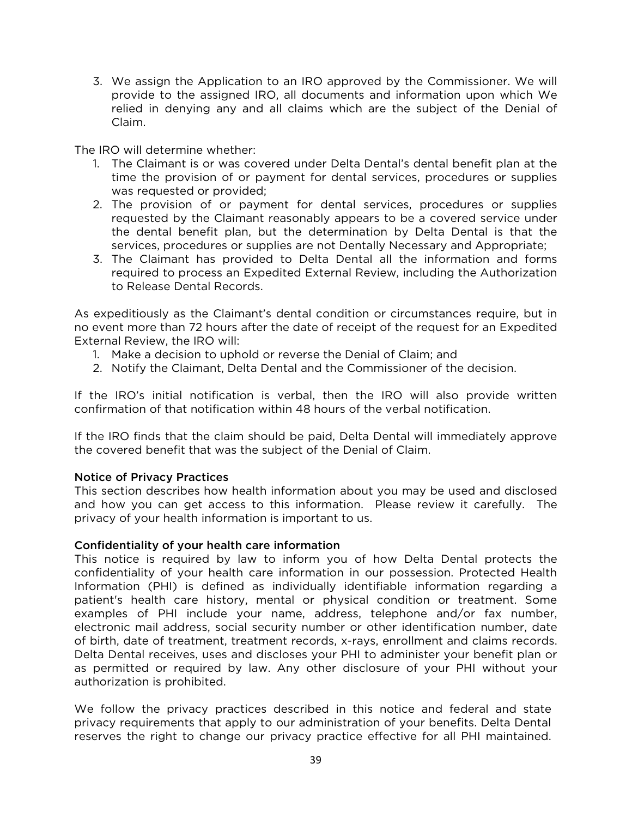3. We assign the Application to an IRO approved by the Commissioner. We will provide to the assigned IRO, all documents and information upon which We relied in denying any and all claims which are the subject of the Denial of Claim.

The IRO will determine whether:

- 1. The Claimant is or was covered under Delta Dental's dental benefit plan at the time the provision of or payment for dental services, procedures or supplies was requested or provided;
- 2. The provision of or payment for dental services, procedures or supplies requested by the Claimant reasonably appears to be a covered service under the dental benefit plan, but the determination by Delta Dental is that the services, procedures or supplies are not Dentally Necessary and Appropriate;
- 3. The Claimant has provided to Delta Dental all the information and forms required to process an Expedited External Review, including the Authorization to Release Dental Records.

As expeditiously as the Claimant's dental condition or circumstances require, but in no event more than 72 hours after the date of receipt of the request for an Expedited External Review, the IRO will:

- 1. Make a decision to uphold or reverse the Denial of Claim; and
- 2. Notify the Claimant, Delta Dental and the Commissioner of the decision.

If the IRO's initial notification is verbal, then the IRO will also provide written confirmation of that notification within 48 hours of the verbal notification.

If the IRO finds that the claim should be paid, Delta Dental will immediately approve the covered benefit that was the subject of the Denial of Claim.

#### Notice of Privacy Practices

This section describes how health information about you may be used and disclosed and how you can get access to this information. Please review it carefully. The privacy of your health information is important to us.

#### Confidentiality of your health care information

This notice is required by law to inform you of how Delta Dental protects the confidentiality of your health care information in our possession. Protected Health Information (PHI) is defined as individually identifiable information regarding a patient's health care history, mental or physical condition or treatment. Some examples of PHI include your name, address, telephone and/or fax number, electronic mail address, social security number or other identification number, date of birth, date of treatment, treatment records, x-rays, enrollment and claims records. Delta Dental receives, uses and discloses your PHI to administer your benefit plan or as permitted or required by law. Any other disclosure of your PHI without your authorization is prohibited.

We follow the privacy practices described in this notice and federal and state privacy requirements that apply to our administration of your benefits. Delta Dental reserves the right to change our privacy practice effective for all PHI maintained.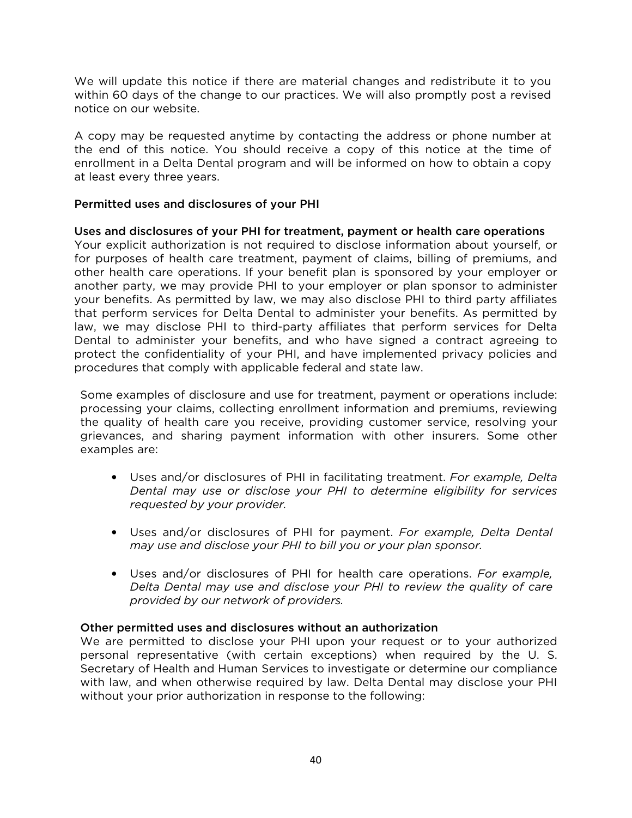We will update this notice if there are material changes and redistribute it to you within 60 days of the change to our practices. We will also promptly post a revised notice on our website.

A copy may be requested anytime by contacting the address or phone number at the end of this notice. You should receive a copy of this notice at the time of enrollment in a Delta Dental program and will be informed on how to obtain a copy at least every three years.

## Permitted uses and disclosures of your PHI

## Uses and disclosures of your PHI for treatment, payment or health care operations

Your explicit authorization is not required to disclose information about yourself, or for purposes of health care treatment, payment of claims, billing of premiums, and other health care operations. If your benefit plan is sponsored by your employer or another party, we may provide PHI to your employer or plan sponsor to administer your benefits. As permitted by law, we may also disclose PHI to third party affiliates that perform services for Delta Dental to administer your benefits. As permitted by law, we may disclose PHI to third-party affiliates that perform services for Delta Dental to administer your benefits, and who have signed a contract agreeing to protect the confidentiality of your PHI, and have implemented privacy policies and procedures that comply with applicable federal and state law.

Some examples of disclosure and use for treatment, payment or operations include: processing your claims, collecting enrollment information and premiums, reviewing the quality of health care you receive, providing customer service, resolving your grievances, and sharing payment information with other insurers. Some other examples are:

- Uses and/or disclosures of PHI in facilitating treatment. *For example, Delta Dental may use or disclose your PHI to determine eligibility for services requested by your provider.*
- Uses and/or disclosures of PHI for payment. *For example, Delta Dental may use and disclose your PHI to bill you or your plan sponsor.*
- Uses and/or disclosures of PHI for health care operations. *For example, Delta Dental may use and disclose your PHI to review the quality of care provided by our network of providers.*

## Other permitted uses and disclosures without an authorization

We are permitted to disclose your PHI upon your request or to your authorized personal representative (with certain exceptions) when required by the U. S. Secretary of Health and Human Services to investigate or determine our compliance with law, and when otherwise required by law. Delta Dental may disclose your PHI without your prior authorization in response to the following: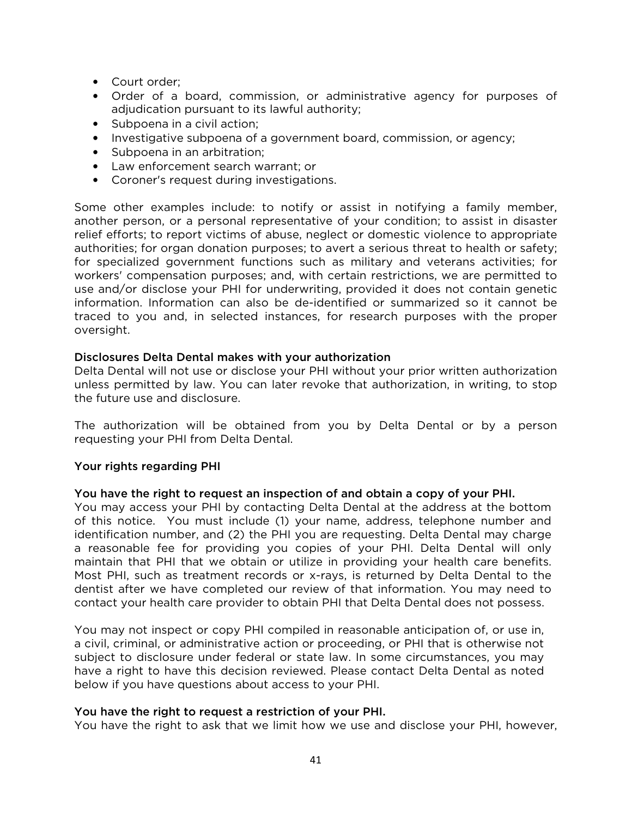- Court order;
- Order of a board, commission, or administrative agency for purposes of adjudication pursuant to its lawful authority;
- Subpoena in a civil action;
- Investigative subpoena of a government board, commission, or agency;
- Subpoena in an arbitration;
- Law enforcement search warrant; or
- Coroner's request during investigations.

Some other examples include: to notify or assist in notifying a family member, another person, or a personal representative of your condition; to assist in disaster relief efforts; to report victims of abuse, neglect or domestic violence to appropriate authorities; for organ donation purposes; to avert a serious threat to health or safety; for specialized government functions such as military and veterans activities; for workers' compensation purposes; and, with certain restrictions, we are permitted to use and/or disclose your PHI for underwriting, provided it does not contain genetic information. Information can also be de-identified or summarized so it cannot be traced to you and, in selected instances, for research purposes with the proper oversight.

### Disclosures Delta Dental makes with your authorization

Delta Dental will not use or disclose your PHI without your prior written authorization unless permitted by law. You can later revoke that authorization, in writing, to stop the future use and disclosure.

The authorization will be obtained from you by Delta Dental or by a person requesting your PHI from Delta Dental.

## Your rights regarding PHI

#### You have the right to request an inspection of and obtain a copy of your PHI.

You may access your PHI by contacting Delta Dental at the address at the bottom of this notice. You must include (1) your name, address, telephone number and identification number, and (2) the PHI you are requesting. Delta Dental may charge a reasonable fee for providing you copies of your PHI. Delta Dental will only maintain that PHI that we obtain or utilize in providing your health care benefits. Most PHI, such as treatment records or x-rays, is returned by Delta Dental to the dentist after we have completed our review of that information. You may need to contact your health care provider to obtain PHI that Delta Dental does not possess.

You may not inspect or copy PHI compiled in reasonable anticipation of, or use in, a civil, criminal, or administrative action or proceeding, or PHI that is otherwise not subject to disclosure under federal or state law. In some circumstances, you may have a right to have this decision reviewed. Please contact Delta Dental as noted below if you have questions about access to your PHI.

#### You have the right to request a restriction of your PHI.

You have the right to ask that we limit how we use and disclose your PHI, however,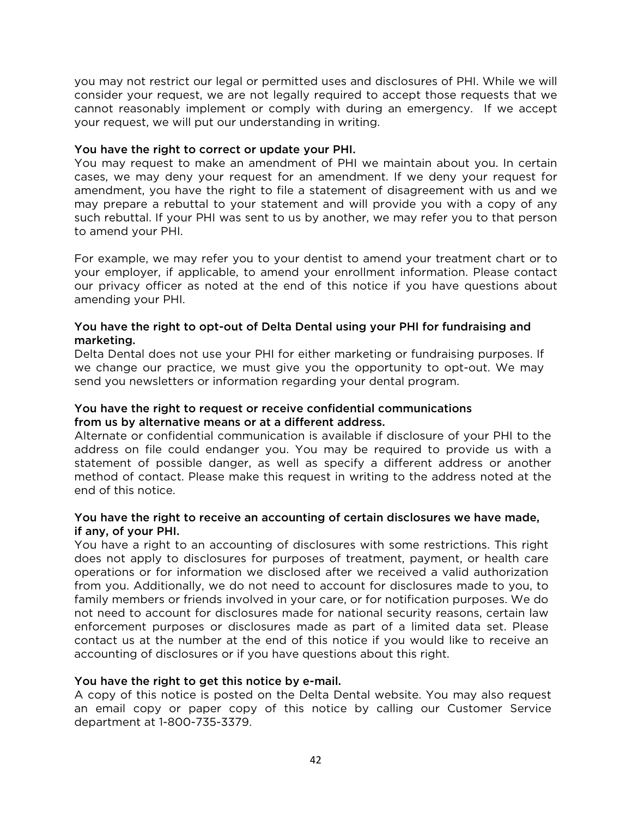you may not restrict our legal or permitted uses and disclosures of PHI. While we will consider your request, we are not legally required to accept those requests that we cannot reasonably implement or comply with during an emergency. If we accept your request, we will put our understanding in writing.

## You have the right to correct or update your PHI.

You may request to make an amendment of PHI we maintain about you. In certain cases, we may deny your request for an amendment. If we deny your request for amendment, you have the right to file a statement of disagreement with us and we may prepare a rebuttal to your statement and will provide you with a copy of any such rebuttal. If your PHI was sent to us by another, we may refer you to that person to amend your PHI.

For example, we may refer you to your dentist to amend your treatment chart or to your employer, if applicable, to amend your enrollment information. Please contact our privacy officer as noted at the end of this notice if you have questions about amending your PHI.

## You have the right to opt-out of Delta Dental using your PHI for fundraising and marketing.

Delta Dental does not use your PHI for either marketing or fundraising purposes. If we change our practice, we must give you the opportunity to opt-out. We may send you newsletters or information regarding your dental program.

## You have the right to request or receive confidential communications from us by alternative means or at a different address.

Alternate or confidential communication is available if disclosure of your PHI to the address on file could endanger you. You may be required to provide us with a statement of possible danger, as well as specify a different address or another method of contact. Please make this request in writing to the address noted at the end of this notice.

## You have the right to receive an accounting of certain disclosures we have made, if any, of your PHI.

You have a right to an accounting of disclosures with some restrictions. This right does not apply to disclosures for purposes of treatment, payment, or health care operations or for information we disclosed after we received a valid authorization from you. Additionally, we do not need to account for disclosures made to you, to family members or friends involved in your care, or for notification purposes. We do not need to account for disclosures made for national security reasons, certain law enforcement purposes or disclosures made as part of a limited data set. Please contact us at the number at the end of this notice if you would like to receive an accounting of disclosures or if you have questions about this right.

## You have the right to get this notice by e-mail.

A copy of this notice is posted on the Delta Dental website. You may also request an email copy or paper copy of this notice by calling our Customer Service department at 1-800-735-3379.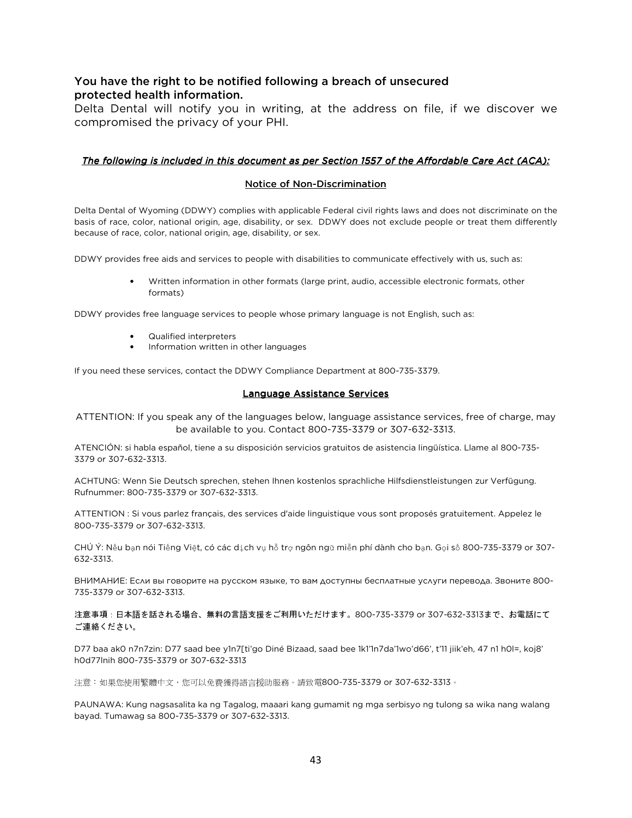## You have the right to be notified following a breach of unsecured protected health information.

Delta Dental will notify you in writing, at the address on file, if we discover we compromised the privacy of your PHI.

#### *The following is included in this document as per Section 1557 of the Affordable Care Act (ACA):*

#### Notice of Non-Discrimination

Delta Dental of Wyoming (DDWY) complies with applicable Federal civil rights laws and does not discriminate on the basis of race, color, national origin, age, disability, or sex. DDWY does not exclude people or treat them differently because of race, color, national origin, age, disability, or sex.

DDWY provides free aids and services to people with disabilities to communicate effectively with us, such as:

• Written information in other formats (large print, audio, accessible electronic formats, other formats)

DDWY provides free language services to people whose primary language is not English, such as:

- Qualified interpreters
- Information written in other languages

If you need these services, contact the DDWY Compliance Department at 800-735-3379.

#### Language Assistance Services

ATTENTION: If you speak any of the languages below, language assistance services, free of charge, may be available to you. Contact 800-735-3379 or 307-632-3313.

ATENCIÓN: si habla español, tiene a su disposición servicios gratuitos de asistencia lingüística. Llame al 800-735- 3379 or 307-632-3313.

ACHTUNG: Wenn Sie Deutsch sprechen, stehen Ihnen kostenlos sprachliche Hilfsdienstleistungen zur Verfügung. Rufnummer: 800-735-3379 or 307-632-3313.

ATTENTION : Si vous parlez français, des services d'aide linguistique vous sont proposés gratuitement. Appelez le 800-735-3379 or 307-632-3313.

CHÚ Ý: Nếu bạn nói Tiếng Việt, có các dịch vụ hỗ trợ ngôn ngữ miễn phí dành cho bạn. Gọi số 800-735-3379 or 307- 632-3313.

ВНИМАНИЕ: Если вы говорите на русском языке, то вам доступны бесплатные услуги перевода. Звоните 800- 735-3379 or 307-632-3313.

注意事項:日本語を話される場合、無料の言語支援をご利用いただけます。800-735-3379 or 307-632-3313まで、お電話にて ご連絡ください。

D77 baa ak0 n7n7zin: D77 saad bee y1n7[ti'go Diné Bizaad, saad bee 1k1'1n7da'1wo'd66', t'11 jiik'eh, 47 n1 h0l=, koj8' h0d77lnih 800-735-3379 or 307-632-3313

注意:如果您使用繁體中文,您可以免費獲得語言援助服務。請致電800-735-3379 or 307-632-3313。

PAUNAWA: Kung nagsasalita ka ng Tagalog, maaari kang gumamit ng mga serbisyo ng tulong sa wika nang walang bayad. Tumawag sa 800-735-3379 or 307-632-3313.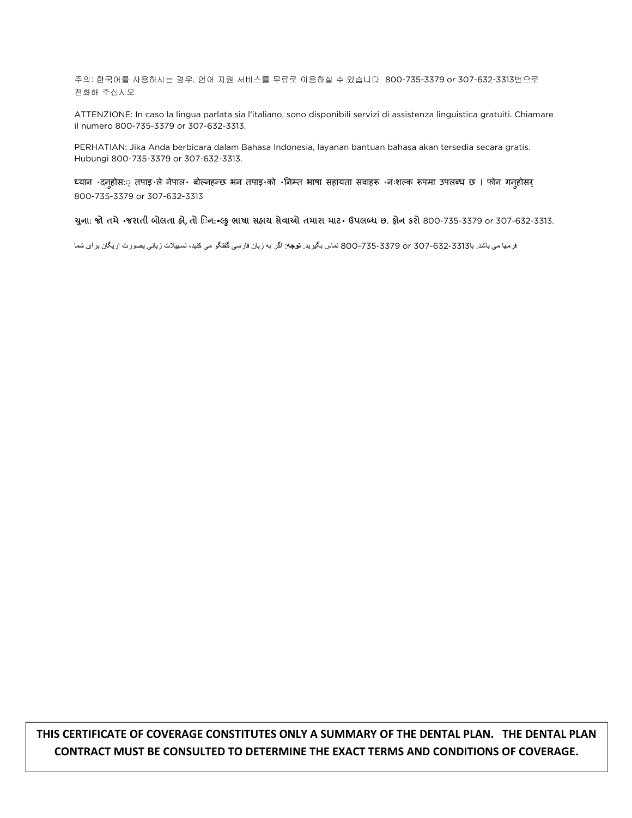주의: 한국어를 사용하시는 경우, 언어 지원 서비스를 무료로 이용하실 수 있습니다. 800-735-3379 or 307-632-3313번으로 전화해 주십시오.

ATTENZIONE: In caso la lingua parlata sia l'italiano, sono disponibili servizi di assistenza linguistica gratuiti. Chiamare il numero 800-735-3379 or 307-632-3313.

PERHATIAN: Jika Anda berbicara dalam Bahasa Indonesia, layanan bantuan bahasa akan tersedia secara gratis. Hubungi 800-735-3379 or 307-632-3313.

ध्यान दनहोसः् तपाइ ले नेपाल बोल्नहन्छ भन तपाइ को निम्त भाषा सहायता सवाहरू नःशल्क रूपमा उपलब्ध छ । फोन गनहोसर् 800-735-3379 or 307-632-3313

યુના: જો તમે ·જરાતી બોલતા હ્રે, તો િન: લ્કુ ભાષા સહ્યચ સેવાઓ તમારા માટ- ઉપલબ્ધ છ. ફ્રોન કરો 800-735-3379 or 307-632-3313.

فرمھا می باشد. با307-632-3313 or 800-735-3379 تماس بگيريد. توجه: اگر به زبان فارسی گفتگو می کنيد، تسھيت زبانی بصورت اريگان برای شما

 $\mathcal{L}_{\mathcal{A}}$ THIS CERTIFICATE OF COVERAGE CONSTITUTES ONLY A SUMMARY OF THE DENTAL PLAN. THE DENTAL PLAN CONTRACT MUST BE CONSULTED TO DETERMINE THE EXACT TERMS AND CONDITIONS OF COVERAGE.